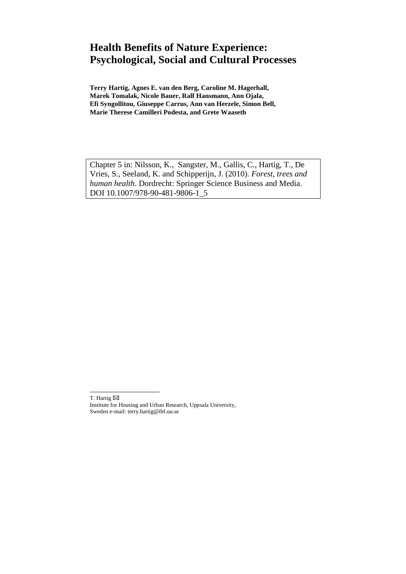# **Health Benefits of Nature Experience: Psychological, Social and Cultural Processes**

**Terry Hartig, Agnes E. van den Berg, Caroline M. Hagerhall, Marek Tomalak, Nicole Bauer, Ralf Hansmann, Ann Ojala, Efi Syngollitou, Giuseppe Carrus, Ann van Herzele, Simon Bell, Marie Therese Camilleri Podesta, and Grete Waaseth**

Chapter 5 in: Nilsson, K., Sangster, M., Gallis, C., Hartig, T., De Vries, S., Seeland, K. and Schipperijn, J. (2010). *Forest, trees and human health*. Dordrecht: Springer Science Business and Media. DOI 10.1007/978-90-481-9806-1\_5

T. Hartig ⊠

Institute for Housing and Urban Research, Uppsala University, Sweden e-mail: terry.hartig@ibf.uu.se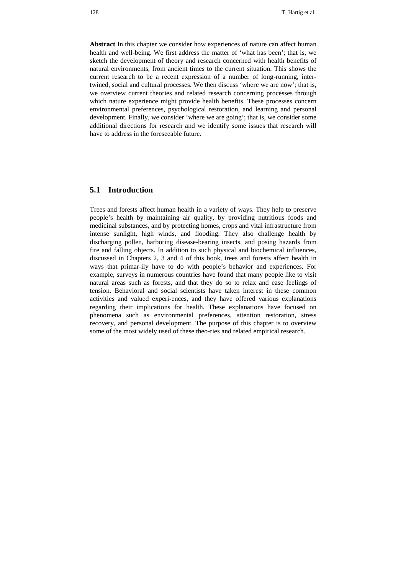**Abstract** In this chapter we consider how experiences of nature can affect human health and well-being. We first address the matter of 'what has been'; that is, we sketch the development of theory and research concerned with health benefits of natural environments, from ancient times to the current situation. This shows the current research to be a recent expression of a number of long-running, intertwined, social and cultural processes. We then discuss 'where we are now'; that is, we overview current theories and related research concerning processes through which nature experience might provide health benefits. These processes concern environmental preferences, psychological restoration, and learning and personal development. Finally, we consider 'where we are going'; that is, we consider some additional directions for research and we identify some issues that research will have to address in the foreseeable future.

# **5.1 Introduction**

Trees and forests affect human health in a variety of ways. They help to preserve people's health by maintaining air quality, by providing nutritious foods and medicinal substances, and by protecting homes, crops and vital infrastructure from intense sunlight, high winds, and flooding. They also challenge health by discharging pollen, harboring disease-bearing insects, and posing hazards from fire and falling objects. In addition to such physical and biochemical influences, discussed in Chapters 2, 3 and 4 of this book, trees and forests affect health in ways that primar-ily have to do with people's behavior and experiences. For example, surveys in numerous countries have found that many people like to visit natural areas such as forests, and that they do so to relax and ease feelings of tension. Behavioral and social scientists have taken interest in these common activities and valued experi-ences, and they have offered various explanations regarding their implications for health. These explanations have focused on phenomena such as environmental preferences, attention restoration, stress recovery, and personal development. The purpose of this chapter is to overview some of the most widely used of these theo-ries and related empirical research.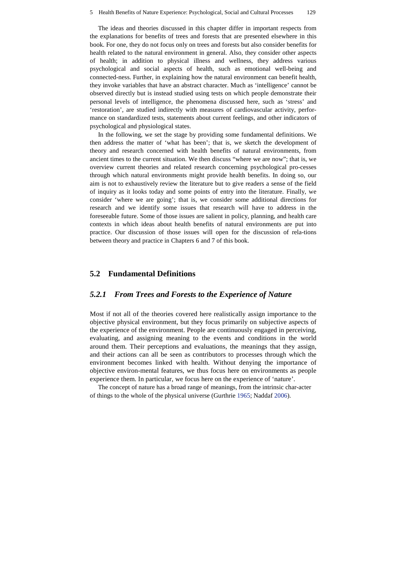The ideas and theories discussed in this chapter differ in important respects from the explanations for benefits of trees and forests that are presented elsewhere in this book. For one, they do not focus only on trees and forests but also consider benefits for health related to the natural environment in general. Also, they consider other aspects of health; in addition to physical illness and wellness, they address various psychological and social aspects of health, such as emotional well-being and connected-ness. Further, in explaining how the natural environment can benefit health, they invoke variables that have an abstract character. Much as 'intelligence' cannot be observed directly but is instead studied using tests on which people demonstrate their personal levels of intelligence, the phenomena discussed here, such as 'stress' and 'restoration', are studied indirectly with measures of cardiovascular activity, performance on standardized tests, statements about current feelings, and other indicators of psychological and physiological states.

In the following, we set the stage by providing some fundamental definitions. We then address the matter of 'what has been'; that is, we sketch the development of theory and research concerned with health benefits of natural environments, from ancient times to the current situation. We then discuss "where we are now"; that is, we overview current theories and related research concerning psychological pro-cesses through which natural environments might provide health benefits. In doing so, our aim is not to exhaustively review the literature but to give readers a sense of the field of inquiry as it looks today and some points of entry into the literature. Finally, we consider 'where we are going'; that is, we consider some additional directions for research and we identify some issues that research will have to address in the foreseeable future. Some of those issues are salient in policy, planning, and health care contexts in which ideas about health benefits of natural environments are put into practice. Our discussion of those issues will open for the discussion of rela-tions between theory and practice in Chapters 6 and 7 of this book.

# **5.2 Fundamental Definitions**

# *5.2.1 From Trees and Forests to the Experience of Nature*

Most if not all of the theories covered here realistically assign importance to the objective physical environment, but they focus primarily on subjective aspects of the experience of the environment. People are continuously engaged in perceiving, evaluating, and assigning meaning to the events and conditions in the world around them. Their perceptions and evaluations, the meanings that they assign, and their actions can all be seen as contributors to processes through which the environment becomes linked with health. Without denying the importance of objective environ-mental features, we thus focus here on environments as people experience them. In particular, we focus here on the experience of 'nature'.

The concept of nature has a broad range of meanings, from the intrinsic char-acter of things to the whole of the physical universe (Gurthrie 1965; Naddaf 2006).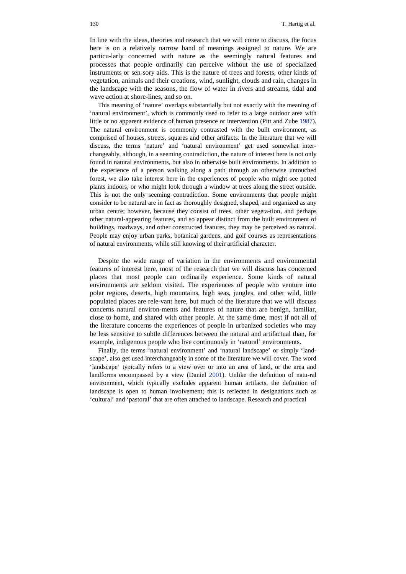In line with the ideas, theories and research that we will come to discuss, the focus here is on a relatively narrow band of meanings assigned to nature. We are particu-larly concerned with nature as the seemingly natural features and processes that people ordinarily can perceive without the use of specialized instruments or sen-sory aids. This is the nature of trees and forests, other kinds of vegetation, animals and their creations, wind, sunlight, clouds and rain, changes in the landscape with the seasons, the flow of water in rivers and streams, tidal and wave action at shore-lines, and so on.

This meaning of 'nature' overlaps substantially but not exactly with the meaning of 'natural environment', which is commonly used to refer to a large outdoor area with little or no apparent evidence of human presence or intervention (Pitt and Zube 1987). The natural environment is commonly contrasted with the built environment, as comprised of houses, streets, squares and other artifacts. In the literature that we will discuss, the terms 'nature' and 'natural environment' get used somewhat interchangeably, although, in a seeming contradiction, the nature of interest here is not only found in natural environments, but also in otherwise built environments. In addition to the experience of a person walking along a path through an otherwise untouched forest, we also take interest here in the experiences of people who might see potted plants indoors, or who might look through a window at trees along the street outside. This is not the only seeming contradiction. Some environments that people might consider to be natural are in fact as thoroughly designed, shaped, and organized as any urban centre; however, because they consist of trees, other vegeta-tion, and perhaps other natural-appearing features, and so appear distinct from the built environment of buildings, roadways, and other constructed features, they may be perceived as natural. People may enjoy urban parks, botanical gardens, and golf courses as representations of natural environments, while still knowing of their artificial character.

Despite the wide range of variation in the environments and environmental features of interest here, most of the research that we will discuss has concerned places that most people can ordinarily experience. Some kinds of natural environments are seldom visited. The experiences of people who venture into polar regions, deserts, high mountains, high seas, jungles, and other wild, little populated places are rele-vant here, but much of the literature that we will discuss concerns natural environ-ments and features of nature that are benign, familiar, close to home, and shared with other people. At the same time, most if not all of the literature concerns the experiences of people in urbanized societies who may be less sensitive to subtle differences between the natural and artifactual than, for example, indigenous people who live continuously in 'natural' environments.

Finally, the terms 'natural environment' and 'natural landscape' or simply 'landscape', also get used interchangeably in some of the literature we will cover. The word 'landscape' typically refers to a view over or into an area of land, or the area and landforms encompassed by a view (Daniel 2001). Unlike the definition of natu-ral environment, which typically excludes apparent human artifacts, the definition of landscape is open to human involvement; this is reflected in designations such as 'cultural' and 'pastoral' that are often attached to landscape. Research and practical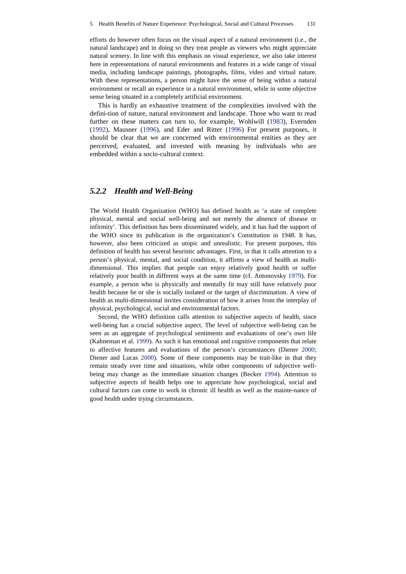efforts do however often focus on the visual aspect of a natural environment (i.e., the natural landscape) and in doing so they treat people as viewers who might appreciate natural scenery. In line with this emphasis on visual experience, we also take interest here in representations of natural environments and features in a wide range of visual media, including landscape paintings, photographs, films, video and virtual nature. With these representations, a person might have the sense of being within a natural environment or recall an experience in a natural environment, while in some objective sense being situated in a completely artificial environment.

This is hardly an exhaustive treatment of the complexities involved with the defini-tion of nature, natural environment and landscape. Those who want to read further on these matters can turn to, for example, Wohlwill (1983), Evernden (1992), Mausner (1996), and Eder and Ritter (1996) For present purposes, it should be clear that we are concerned with environmental entities as they are perceived, evaluated, and invested with meaning by individuals who are embedded within a socio-cultural context.

# *5.2.2 Health and Well-Being*

The World Health Organization (WHO) has defined health as 'a state of complete physical, mental and social well-being and not merely the absence of disease or infirmity'. This definition has been disseminated widely, and it has had the support of the WHO since its publication in the organization's Constitution in 1948. It has, however, also been criticized as utopic and unrealistic. For present purposes, this definition of health has several heuristic advantages. First, in that it calls attention to a person's physical, mental, and social condition, it affirms a view of health as multidimensional. This implies that people can enjoy relatively good health or suffer relatively poor health in different ways at the same time (cf. Antonovsky 1979). For example, a person who is physically and mentally fit may still have relatively poor health because he or she is socially isolated or the target of discrimination. A view of health as multi-dimensional invites consideration of how it arises from the interplay of physical, psychological, social and environmental factors.

Second, the WHO definition calls attention to subjective aspects of health, since well-being has a crucial subjective aspect. The level of subjective well-being can be seen as an aggregate of psychological sentiments and evaluations of one's own life (Kahneman et al. 1999). As such it has emotional and cognitive components that relate to affective features and evaluations of the person's circumstances (Diener 2000; Diener and Lucas 2000). Some of these components may be trait-like in that they remain steady over time and situations, while other components of subjective wellbeing may change as the immediate situation changes (Becker 1994). Attention to subjective aspects of health helps one to appreciate how psychological, social and cultural factors can come to work in chronic ill health as well as the mainte-nance of good health under trying circumstances.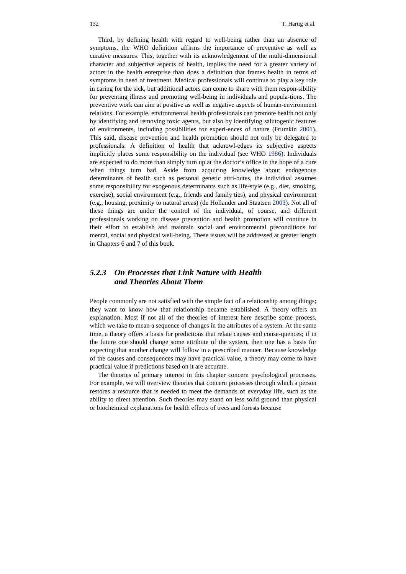Third, by defining health with regard to well-being rather than an absence of symptoms, the WHO definition affirms the importance of preventive as well as curative measures. This, together with its acknowledgement of the multi-dimensional character and subjective aspects of health, implies the need for a greater variety of actors in the health enterprise than does a definition that frames health in terms of symptoms in need of treatment. Medical professionals will continue to play a key role in caring for the sick, but additional actors can come to share with them respon-sibility for preventing illness and promoting well-being in individuals and popula-tions. The preventive work can aim at positive as well as negative aspects of human-environment relations. For example, environmental health professionals can promote health not only by identifying and removing toxic agents, but also by identifying salutogenic features of environments, including possibilities for experi-ences of nature (Frumkin 2001). This said, disease prevention and health promotion should not only be delegated to professionals. A definition of health that acknowl-edges its subjective aspects implicitly places some responsibility on the individual (see WHO 1986). Individuals are expected to do more than simply turn up at the doctor's office in the hope of a cure when things turn bad. Aside from acquiring knowledge about endogenous determinants of health such as personal genetic attri-butes, the individual assumes some responsibility for exogenous determinants such as life-style (e.g., diet, smoking, exercise), social environment (e.g., friends and family ties), and physical environment (e.g., housing, proximity to natural areas) (de Hollander and Staatsen 2003). Not all of these things are under the control of the individual, of course, and different professionals working on disease prevention and health promotion will continue in their effort to establish and maintain social and environmental preconditions for mental, social and physical well-being. These issues will be addressed at greater length in Chapters 6 and 7 of this book.

# *5.2.3 On Processes that Link Nature with Health and Theories About Them*

People commonly are not satisfied with the simple fact of a relationship among things; they want to know how that relationship became established. A theory offers an explanation. Most if not all of the theories of interest here describe some process, which we take to mean a sequence of changes in the attributes of a system. At the same time, a theory offers a basis for predictions that relate causes and conse-quences; if in the future one should change some attribute of the system, then one has a basis for expecting that another change will follow in a prescribed manner. Because knowledge of the causes and consequences may have practical value, a theory may come to have practical value if predictions based on it are accurate.

The theories of primary interest in this chapter concern psychological processes. For example, we will overview theories that concern processes through which a person restores a resource that is needed to meet the demands of everyday life, such as the ability to direct attention. Such theories may stand on less solid ground than physical or biochemical explanations for health effects of trees and forests because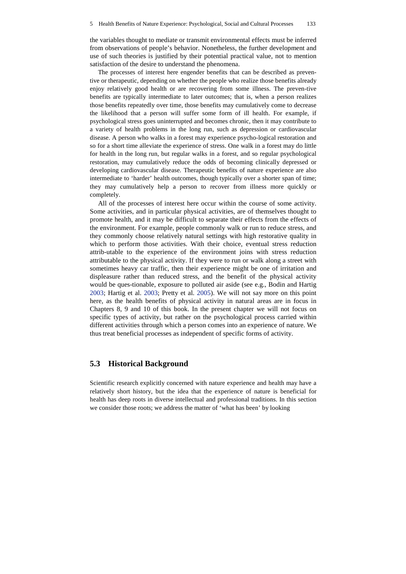the variables thought to mediate or transmit environmental effects must be inferred from observations of people's behavior. Nonetheless, the further development and use of such theories is justified by their potential practical value, not to mention satisfaction of the desire to understand the phenomena.

The processes of interest here engender benefits that can be described as preventive or therapeutic, depending on whether the people who realize those benefits already enjoy relatively good health or are recovering from some illness. The preven-tive benefits are typically intermediate to later outcomes; that is, when a person realizes those benefits repeatedly over time, those benefits may cumulatively come to decrease the likelihood that a person will suffer some form of ill health. For example, if psychological stress goes uninterrupted and becomes chronic, then it may contribute to a variety of health problems in the long run, such as depression or cardiovascular disease. A person who walks in a forest may experience psycho-logical restoration and so for a short time alleviate the experience of stress. One walk in a forest may do little for health in the long run, but regular walks in a forest, and so regular psychological restoration, may cumulatively reduce the odds of becoming clinically depressed or developing cardiovascular disease. Therapeutic benefits of nature experience are also intermediate to 'harder' health outcomes, though typically over a shorter span of time; they may cumulatively help a person to recover from illness more quickly or completely.

All of the processes of interest here occur within the course of some activity. Some activities, and in particular physical activities, are of themselves thought to promote health, and it may be difficult to separate their effects from the effects of the environment. For example, people commonly walk or run to reduce stress, and they commonly choose relatively natural settings with high restorative quality in which to perform those activities. With their choice, eventual stress reduction attrib-utable to the experience of the environment joins with stress reduction attributable to the physical activity. If they were to run or walk along a street with sometimes heavy car traffic, then their experience might be one of irritation and displeasure rather than reduced stress, and the benefit of the physical activity would be ques-tionable, exposure to polluted air aside (see e.g., Bodin and Hartig 2003; Hartig et al. 2003; Pretty et al. 2005). We will not say more on this point here, as the health benefits of physical activity in natural areas are in focus in Chapters 8, 9 and 10 of this book. In the present chapter we will not focus on specific types of activity, but rather on the psychological process carried within different activities through which a person comes into an experience of nature. We thus treat beneficial processes as independent of specific forms of activity.

# **5.3 Historical Background**

Scientific research explicitly concerned with nature experience and health may have a relatively short history, but the idea that the experience of nature is beneficial for health has deep roots in diverse intellectual and professional traditions. In this section we consider those roots; we address the matter of 'what has been' by looking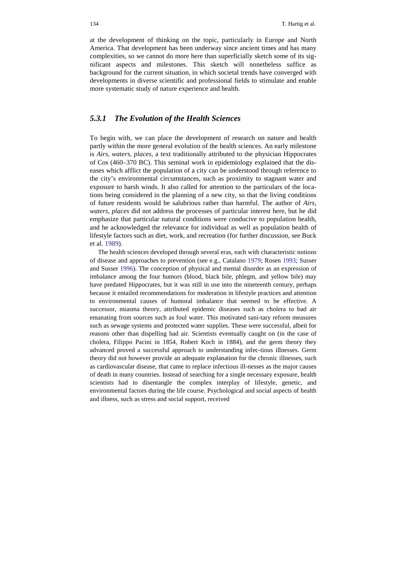at the development of thinking on the topic, particularly in Europe and North America. That development has been underway since ancient times and has many complexities, so we cannot do more here than superficially sketch some of its significant aspects and milestones. This sketch will nonetheless suffice as background for the current situation, in which societal trends have converged with developments in diverse scientific and professional fields to stimulate and enable more systematic study of nature experience and health.

# *5.3.1 The Evolution of the Health Sciences*

To begin with, we can place the development of research on nature and health partly within the more general evolution of the health sciences. An early milestone is *Airs, waters, places*, a text traditionally attributed to the physician Hippocrates of Cos (460–370 BC). This seminal work in epidemiology explained that the diseases which afflict the population of a city can be understood through reference to the city's environmental circumstances, such as proximity to stagnant water and exposure to harsh winds. It also called for attention to the particulars of the locations being considered in the planning of a new city, so that the living conditions of future residents would be salubrious rather than harmful. The author of *Airs, waters, places* did not address the processes of particular interest here, but he did emphasize that particular natural conditions were conducive to population health, and he acknowledged the relevance for individual as well as population health of lifestyle factors such as diet, work, and recreation (for further discussion, see Buck et al. 1989).

The health sciences developed through several eras, each with characteristic notions of disease and approaches to prevention (see e.g., Catalano 1979; Rosen 1993; Susser and Susser 1996). The conception of physical and mental disorder as an expression of imbalance among the four humors (blood, black bile, phlegm, and yellow bile) may have predated Hippocrates, but it was still in use into the nineteenth century, perhaps because it entailed recommendations for moderation in lifestyle practices and attention to environmental causes of humoral imbalance that seemed to be effective. A successor, miasma theory, attributed epidemic diseases such as cholera to bad air emanating from sources such as foul water. This motivated sani-tary reform measures such as sewage systems and protected water supplies. These were successful, albeit for reasons other than dispelling bad air. Scientists eventually caught on (in the case of cholera, Filippo Pacini in 1854, Robert Koch in 1884), and the germ theory they advanced proved a successful approach to understanding infec-tious illnesses. Germ theory did not however provide an adequate explanation for the chronic illnesses, such as cardiovascular disease, that came to replace infectious ill-nesses as the major causes of death in many countries. Instead of searching for a single necessary exposure, health scientists had to disentangle the complex interplay of lifestyle, genetic, and environmental factors during the life course. Psychological and social aspects of health and illness, such as stress and social support, received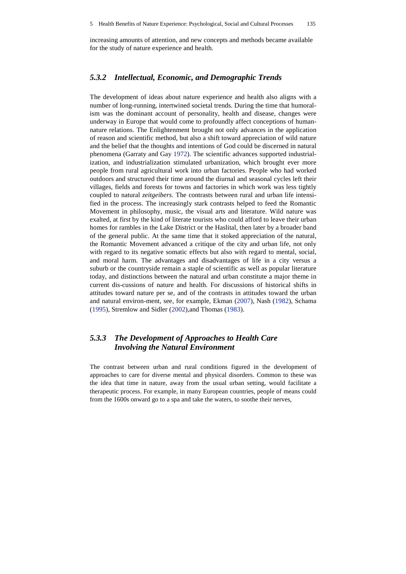increasing amounts of attention, and new concepts and methods became available for the study of nature experience and health.

## *5.3.2 Intellectual, Economic, and Demographic Trends*

The development of ideas about nature experience and health also aligns with a number of long-running, intertwined societal trends. During the time that humoralism was the dominant account of personality, health and disease, changes were underway in Europe that would come to profoundly affect conceptions of humannature relations. The Enlightenment brought not only advances in the application of reason and scientific method, but also a shift toward appreciation of wild nature and the belief that the thoughts and intentions of God could be discerned in natural phenomena (Garraty and Gay 1972). The scientific advances supported industrialization, and industrialization stimulated urbanization, which brought ever more people from rural agricultural work into urban factories. People who had worked outdoors and structured their time around the diurnal and seasonal cycles left their villages, fields and forests for towns and factories in which work was less tightly coupled to natural *zeitgeibers*. The contrasts between rural and urban life intensified in the process. The increasingly stark contrasts helped to feed the Romantic Movement in philosophy, music, the visual arts and literature. Wild nature was exalted, at first by the kind of literate tourists who could afford to leave their urban homes for rambles in the Lake District or the Haslital, then later by a broader band of the general public. At the same time that it stoked appreciation of the natural, the Romantic Movement advanced a critique of the city and urban life, not only with regard to its negative somatic effects but also with regard to mental, social, and moral harm. The advantages and disadvantages of life in a city versus a suburb or the countryside remain a staple of scientific as well as popular literature today, and distinctions between the natural and urban constitute a major theme in current dis-cussions of nature and health. For discussions of historical shifts in attitudes toward nature per se, and of the contrasts in attitudes toward the urban and natural environ-ment, see, for example, Ekman (2007), Nash (1982), Schama (1995), Stremlow and Sidler (2002),and Thomas (1983).

# *5.3.3 The Development of Approaches to Health Care Involving the Natural Environment*

The contrast between urban and rural conditions figured in the development of approaches to care for diverse mental and physical disorders. Common to these was the idea that time in nature, away from the usual urban setting, would facilitate a therapeutic process. For example, in many European countries, people of means could from the 1600s onward go to a spa and take the waters, to soothe their nerves,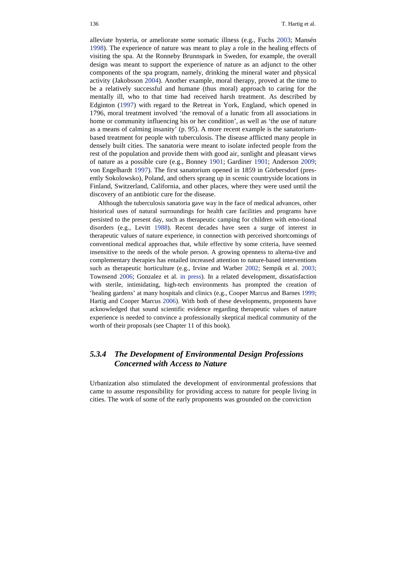alleviate hysteria, or ameliorate some somatic illness (e.g., Fuchs 2003; Mansén 1998). The experience of nature was meant to play a role in the healing effects of visiting the spa. At the Ronneby Brunnspark in Sweden, for example, the overall design was meant to support the experience of nature as an adjunct to the other components of the spa program, namely, drinking the mineral water and physical activity (Jakobsson 2004). Another example, moral therapy, proved at the time to be a relatively successful and humane (thus moral) approach to caring for the mentally ill, who to that time had received harsh treatment. As described by Edginton (1997) with regard to the Retreat in York, England, which opened in 1796, moral treatment involved 'the removal of a lunatic from all associations in home or community influencing his or her condition', as well as 'the use of nature as a means of calming insanity' (p. 95). A more recent example is the sanatoriumbased treatment for people with tuberculosis. The disease afflicted many people in densely built cities. The sanatoria were meant to isolate infected people from the rest of the population and provide them with good air, sunlight and pleasant views of nature as a possible cure (e.g., Bonney 1901; Gardiner 1901; Anderson 2009; von Engelhardt 1997). The first sanatorium opened in 1859 in Görbersdorf (presently Sokolowsko), Poland, and others sprang up in scenic countryside locations in Finland, Switzerland, California, and other places, where they were used until the discovery of an antibiotic cure for the disease.

Although the tuberculosis sanatoria gave way in the face of medical advances, other historical uses of natural surroundings for health care facilities and programs have persisted to the present day, such as therapeutic camping for children with emo-tional disorders (e.g., Levitt 1988). Recent decades have seen a surge of interest in therapeutic values of nature experience, in connection with perceived shortcomings of conventional medical approaches that, while effective by some criteria, have seemed insensitive to the needs of the whole person. A growing openness to alterna-tive and complementary therapies has entailed increased attention to nature-based interventions such as therapeutic horticulture (e.g., Irvine and Warber 2002; Sempik et al. 2003; Townsend 2006; Gonzalez et al. in press). In a related development, dissatisfaction with sterile, intimidating, high-tech environments has prompted the creation of 'healing gardens' at many hospitals and clinics (e.g., Cooper Marcus and Barnes 1999; Hartig and Cooper Marcus 2006). With both of these developments, proponents have acknowledged that sound scientific evidence regarding therapeutic values of nature experience is needed to convince a professionally skeptical medical community of the worth of their proposals (see Chapter 11 of this book).

# *5.3.4 The Development of Environmental Design Professions Concerned with Access to Nature*

Urbanization also stimulated the development of environmental professions that came to assume responsibility for providing access to nature for people living in cities. The work of some of the early proponents was grounded on the conviction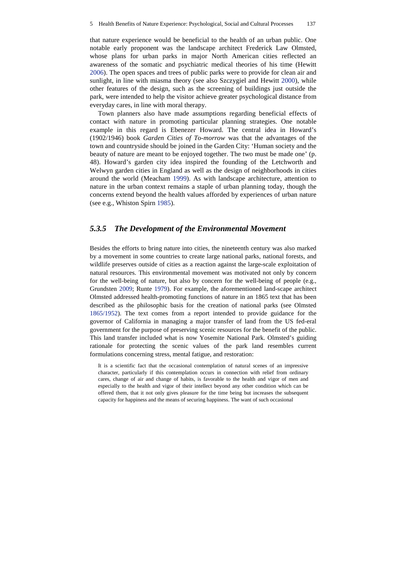that nature experience would be beneficial to the health of an urban public. One notable early proponent was the landscape architect Frederick Law Olmsted, whose plans for urban parks in major North American cities reflected an awareness of the somatic and psychiatric medical theories of his time (Hewitt 2006). The open spaces and trees of public parks were to provide for clean air and sunlight, in line with miasma theory (see also Szczygiel and Hewitt 2000), while other features of the design, such as the screening of buildings just outside the park, were intended to help the visitor achieve greater psychological distance from everyday cares, in line with moral therapy.

Town planners also have made assumptions regarding beneficial effects of contact with nature in promoting particular planning strategies. One notable example in this regard is Ebenezer Howard. The central idea in Howard's (1902/1946) book *Garden Cities of To-morrow* was that the advantages of the town and countryside should be joined in the Garden City: 'Human society and the beauty of nature are meant to be enjoyed together. The two must be made one' (p. 48). Howard's garden city idea inspired the founding of the Letchworth and Welwyn garden cities in England as well as the design of neighborhoods in cities around the world (Meacham 1999). As with landscape architecture, attention to nature in the urban context remains a staple of urban planning today, though the concerns extend beyond the health values afforded by experiences of urban nature (see e.g., Whiston Spirn 1985).

### *5.3.5 The Development of the Environmental Movement*

Besides the efforts to bring nature into cities, the nineteenth century was also marked by a movement in some countries to create large national parks, national forests, and wildlife preserves outside of cities as a reaction against the large-scale exploitation of natural resources. This environmental movement was motivated not only by concern for the well-being of nature, but also by concern for the well-being of people (e.g., Grundsten 2009; Runte 1979). For example, the aforementioned land-scape architect Olmsted addressed health-promoting functions of nature in an 1865 text that has been described as the philosophic basis for the creation of national parks (see Olmsted 1865/1952). The text comes from a report intended to provide guidance for the governor of California in managing a major transfer of land from the US fed-eral government for the purpose of preserving scenic resources for the benefit of the public. This land transfer included what is now Yosemite National Park. Olmsted's guiding rationale for protecting the scenic values of the park land resembles current formulations concerning stress, mental fatigue, and restoration:

It is a scientific fact that the occasional contemplation of natural scenes of an impressive character, particularly if this contemplation occurs in connection with relief from ordinary cares, change of air and change of habits, is favorable to the health and vigor of men and especially to the health and vigor of their intellect beyond any other condition which can be offered them, that it not only gives pleasure for the time being but increases the subsequent capacity for happiness and the means of securing happiness. The want of such occasional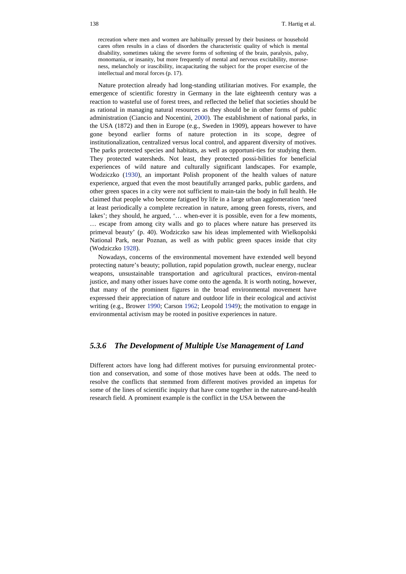recreation where men and women are habitually pressed by their business or household cares often results in a class of disorders the characteristic quality of which is mental disability, sometimes taking the severe forms of softening of the brain, paralysis, palsy, monomania, or insanity, but more frequently of mental and nervous excitability, moroseness, melancholy or irascibility, incapacitating the subject for the proper exercise of the intellectual and moral forces (p. 17).

Nature protection already had long-standing utilitarian motives. For example, the emergence of scientific forestry in Germany in the late eighteenth century was a reaction to wasteful use of forest trees, and reflected the belief that societies should be as rational in managing natural resources as they should be in other forms of public administration (Ciancio and Nocentini, 2000). The establishment of national parks, in the USA (1872) and then in Europe (e.g., Sweden in 1909), appears however to have gone beyond earlier forms of nature protection in its scope, degree of institutionalization, centralized versus local control, and apparent diversity of motives. The parks protected species and habitats, as well as opportuni-ties for studying them. They protected watersheds. Not least, they protected possi-bilities for beneficial experiences of wild nature and culturally significant landscapes. For example, Wodziczko (1930), an important Polish proponent of the health values of nature experience, argued that even the most beautifully arranged parks, public gardens, and other green spaces in a city were not sufficient to main-tain the body in full health. He claimed that people who become fatigued by life in a large urban agglomeration 'need at least periodically a complete recreation in nature, among green forests, rivers, and lakes'; they should, he argued, '… when-ever it is possible, even for a few moments, … escape from among city walls and go to places where nature has preserved its primeval beauty' (p. 40). Wodziczko saw his ideas implemented with Wielkopolski National Park, near Poznan, as well as with public green spaces inside that city (Wodziczko 1928).

Nowadays, concerns of the environmental movement have extended well beyond protecting nature's beauty; pollution, rapid population growth, nuclear energy, nuclear weapons, unsustainable transportation and agricultural practices, environ-mental justice, and many other issues have come onto the agenda. It is worth noting, however, that many of the prominent figures in the broad environmental movement have expressed their appreciation of nature and outdoor life in their ecological and activist writing (e.g., Brower 1990; Carson 1962; Leopold 1949); the motivation to engage in environmental activism may be rooted in positive experiences in nature.

# *5.3.6 The Development of Multiple Use Management of Land*

Different actors have long had different motives for pursuing environmental protection and conservation, and some of those motives have been at odds. The need to resolve the conflicts that stemmed from different motives provided an impetus for some of the lines of scientific inquiry that have come together in the nature-and-health research field. A prominent example is the conflict in the USA between the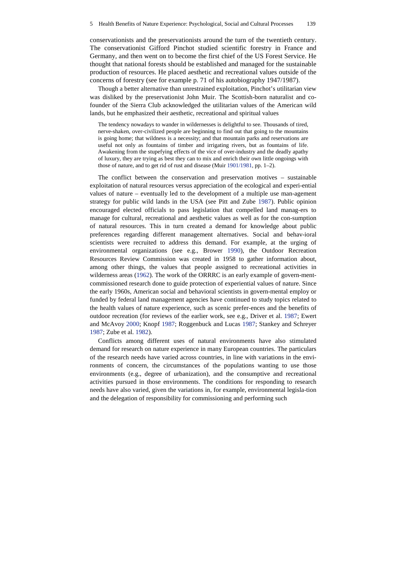conservationists and the preservationists around the turn of the twentieth century. The conservationist Gifford Pinchot studied scientific forestry in France and Germany, and then went on to become the first chief of the US Forest Service. He thought that national forests should be established and managed for the sustainable production of resources. He placed aesthetic and recreational values outside of the concerns of forestry (see for example p. 71 of his autobiography 1947/1987).

Though a better alternative than unrestrained exploitation, Pinchot's utilitarian view was disliked by the preservationist John Muir. The Scottish-born naturalist and cofounder of the Sierra Club acknowledged the utilitarian values of the American wild lands, but he emphasized their aesthetic, recreational and spiritual values

The tendency nowadays to wander in wildernesses is delightful to see. Thousands of tired, nerve-shaken, over-civilized people are beginning to find out that going to the mountains is going home; that wildness is a necessity; and that mountain parks and reservations are useful not only as fountains of timber and irrigating rivers, but as fountains of life. Awakening from the stupefying effects of the vice of over-industry and the deadly apathy of luxury, they are trying as best they can to mix and enrich their own little ongoings with those of nature, and to get rid of rust and disease (Muir 1901/1981, pp. 1–2).

The conflict between the conservation and preservation motives – sustainable exploitation of natural resources versus appreciation of the ecological and experi-ential values of nature – eventually led to the development of a multiple use man-agement strategy for public wild lands in the USA (see Pitt and Zube 1987). Public opinion encouraged elected officials to pass legislation that compelled land manag-ers to manage for cultural, recreational and aesthetic values as well as for the con-sumption of natural resources. This in turn created a demand for knowledge about public preferences regarding different management alternatives. Social and behav-ioral scientists were recruited to address this demand. For example, at the urging of environmental organizations (see e.g., Brower 1990), the Outdoor Recreation Resources Review Commission was created in 1958 to gather information about, among other things, the values that people assigned to recreational activities in wilderness areas (1962). The work of the ORRRC is an early example of govern-mentcommissioned research done to guide protection of experiential values of nature. Since the early 1960s, American social and behavioral scientists in govern-mental employ or funded by federal land management agencies have continued to study topics related to the health values of nature experience, such as scenic prefer-ences and the benefits of outdoor recreation (for reviews of the earlier work, see e.g., Driver et al. 1987; Ewert and McAvoy 2000; Knopf 1987; Roggenbuck and Lucas 1987; Stankey and Schreyer 1987; Zube et al. 1982).

Conflicts among different uses of natural environments have also stimulated demand for research on nature experience in many European countries. The particulars of the research needs have varied across countries, in line with variations in the environments of concern, the circumstances of the populations wanting to use those environments (e.g., degree of urbanization), and the consumptive and recreational activities pursued in those environments. The conditions for responding to research needs have also varied, given the variations in, for example, environmental legisla-tion and the delegation of responsibility for commissioning and performing such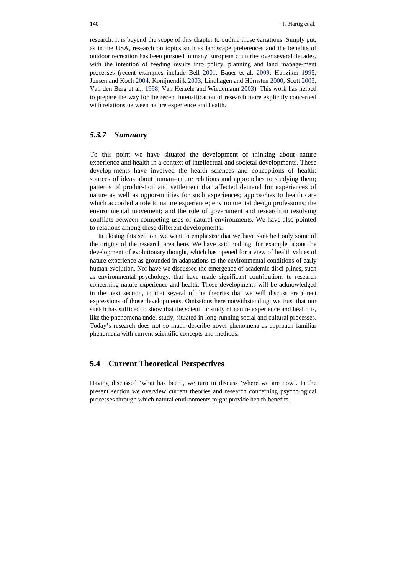research. It is beyond the scope of this chapter to outline these variations. Simply put, as in the USA, research on topics such as landscape preferences and the benefits of outdoor recreation has been pursued in many European countries over several decades, with the intention of feeding results into policy, planning and land manage-ment processes (recent examples include Bell 2001; Bauer et al. 2009; Hunziker 1995; Jensen and Koch 2004; Konijnendijk 2003; Lindhagen and Hörnsten 2000; Scott 2003; Van den Berg et al., 1998; Van Herzele and Wiedemann 2003). This work has helped to prepare the way for the recent intensification of research more explicitly concerned with relations between nature experience and health.

# *5.3.7 Summary*

To this point we have situated the development of thinking about nature experience and health in a context of intellectual and societal developments. These develop-ments have involved the health sciences and conceptions of health; sources of ideas about human-nature relations and approaches to studying them; patterns of produc-tion and settlement that affected demand for experiences of nature as well as oppor-tunities for such experiences; approaches to health care which accorded a role to nature experience; environmental design professions; the environmental movement; and the role of government and research in resolving conflicts between competing uses of natural environments. We have also pointed to relations among these different developments.

In closing this section, we want to emphasize that we have sketched only some of the origins of the research area here. We have said nothing, for example, about the development of evolutionary thought, which has opened for a view of health values of nature experience as grounded in adaptations to the environmental conditions of early human evolution. Nor have we discussed the emergence of academic disci-plines, such as environmental psychology, that have made significant contributions to research concerning nature experience and health. Those developments will be acknowledged in the next section, in that several of the theories that we will discuss are direct expressions of those developments. Omissions here notwithstanding, we trust that our sketch has sufficed to show that the scientific study of nature experience and health is, like the phenomena under study, situated in long-running social and cultural processes. Today's research does not so much describe novel phenomena as approach familiar phenomena with current scientific concepts and methods.

# **5.4 Current Theoretical Perspectives**

Having discussed 'what has been', we turn to discuss 'where we are now'. In the present section we overview current theories and research concerning psychological processes through which natural environments might provide health benefits.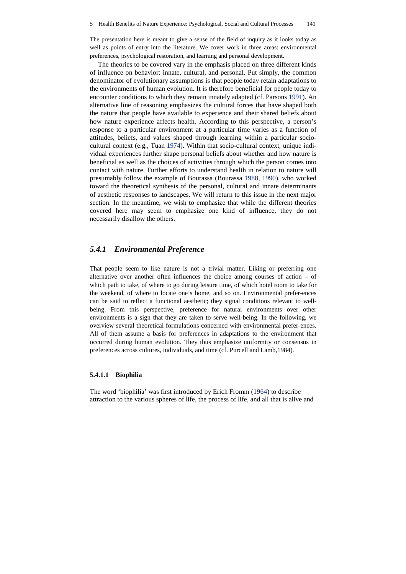The presentation here is meant to give a sense of the field of inquiry as it looks today as well as points of entry into the literature. We cover work in three areas: environmental preferences, psychological restoration, and learning and personal development.

The theories to be covered vary in the emphasis placed on three different kinds of influence on behavior: innate, cultural, and personal. Put simply, the common denominator of evolutionary assumptions is that people today retain adaptations to the environments of human evolution. It is therefore beneficial for people today to encounter conditions to which they remain innately adapted (cf. Parsons 1991). An alternative line of reasoning emphasizes the cultural forces that have shaped both the nature that people have available to experience and their shared beliefs about how nature experience affects health. According to this perspective, a person's response to a particular environment at a particular time varies as a function of attitudes, beliefs, and values shaped through learning within a particular sociocultural context (e.g., Tuan 1974). Within that socio-cultural context, unique individual experiences further shape personal beliefs about whether and how nature is beneficial as well as the choices of activities through which the person comes into contact with nature. Further efforts to understand health in relation to nature will presumably follow the example of Bourassa (Bourassa 1988, 1990), who worked toward the theoretical synthesis of the personal, cultural and innate determinants of aesthetic responses to landscapes. We will return to this issue in the next major section. In the meantime, we wish to emphasize that while the different theories covered here may seem to emphasize one kind of influence, they do not necessarily disallow the others.

# *5.4.1 Environmental Preference*

That people seem to like nature is not a trivial matter. Liking or preferring one alternative over another often influences the choice among courses of action – of which path to take, of where to go during leisure time, of which hotel room to take for the weekend, of where to locate one's home, and so on. Environmental prefer-ences can be said to reflect a functional aesthetic; they signal conditions relevant to wellbeing. From this perspective, preference for natural environments over other environments is a sign that they are taken to serve well-being. In the following, we overview several theoretical formulations concerned with environmental prefer-ences. All of them assume a basis for preferences in adaptations to the environment that occurred during human evolution. They thus emphasize uniformity or consensus in preferences across cultures, individuals, and time (cf. Purcell and Lamb,1984).

#### **5.4.1.1 Biophilia**

The word 'biophilia' was first introduced by Erich Fromm (1964) to describe attraction to the various spheres of life, the process of life, and all that is alive and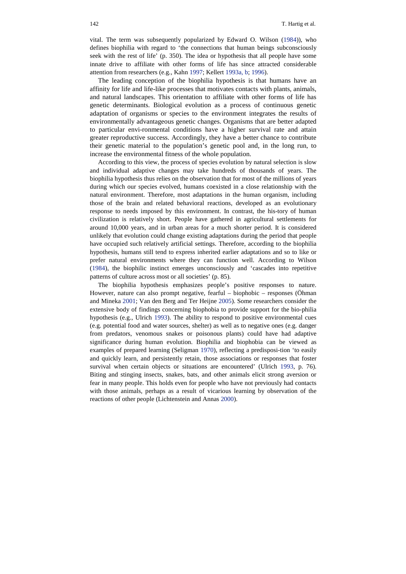vital. The term was subsequently popularized by Edward O. Wilson (1984)), who defines biophilia with regard to 'the connections that human beings subconsciously seek with the rest of life' (p. 350). The idea or hypothesis that all people have some innate drive to affiliate with other forms of life has since attracted considerable attention from researchers (e.g., Kahn 1997; Kellert 1993a, b; 1996).

The leading conception of the biophilia hypothesis is that humans have an affinity for life and life-like processes that motivates contacts with plants, animals, and natural landscapes. This orientation to affiliate with other forms of life has genetic determinants. Biological evolution as a process of continuous genetic adaptation of organisms or species to the environment integrates the results of environmentally advantageous genetic changes. Organisms that are better adapted to particular envi-ronmental conditions have a higher survival rate and attain greater reproductive success. Accordingly, they have a better chance to contribute their genetic material to the population's genetic pool and, in the long run, to increase the environmental fitness of the whole population.

According to this view, the process of species evolution by natural selection is slow and individual adaptive changes may take hundreds of thousands of years. The biophilia hypothesis thus relies on the observation that for most of the millions of years during which our species evolved, humans coexisted in a close relationship with the natural environment. Therefore, most adaptations in the human organism, including those of the brain and related behavioral reactions, developed as an evolutionary response to needs imposed by this environment. In contrast, the his-tory of human civilization is relatively short. People have gathered in agricultural settlements for around 10,000 years, and in urban areas for a much shorter period. It is considered unlikely that evolution could change existing adaptations during the period that people have occupied such relatively artificial settings. Therefore, according to the biophilia hypothesis, humans still tend to express inherited earlier adaptations and so to like or prefer natural environments where they can function well. According to Wilson (1984), the biophilic instinct emerges unconsciously and 'cascades into repetitive patterns of culture across most or all societies' (p. 85).

The biophilia hypothesis emphasizes people's positive responses to nature. However, nature can also prompt negative, fearful – biophobic – responses (Öhman and Mineka 2001; Van den Berg and Ter Heijne 2005). Some researchers consider the extensive body of findings concerning biophobia to provide support for the bio-philia hypothesis (e.g., Ulrich 1993). The ability to respond to positive environmental cues (e.g. potential food and water sources, shelter) as well as to negative ones (e.g. danger from predators, venomous snakes or poisonous plants) could have had adaptive significance during human evolution. Biophilia and biophobia can be viewed as examples of prepared learning (Seligman 1970), reflecting a predisposi-tion 'to easily and quickly learn, and persistently retain, those associations or responses that foster survival when certain objects or situations are encountered' (Ulrich 1993, p. 76). Biting and stinging insects, snakes, bats, and other animals elicit strong aversion or fear in many people. This holds even for people who have not previously had contacts with those animals, perhaps as a result of vicarious learning by observation of the reactions of other people (Lichtenstein and Annas 2000).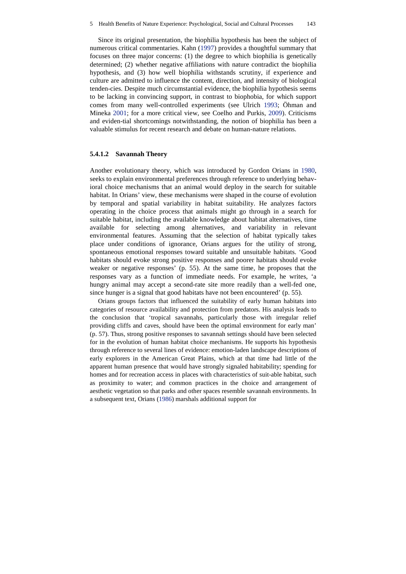Since its original presentation, the biophilia hypothesis has been the subject of numerous critical commentaries. Kahn (1997) provides a thoughtful summary that focuses on three major concerns: (1) the degree to which biophilia is genetically determined; (2) whether negative affiliations with nature contradict the biophilia hypothesis, and (3) how well biophilia withstands scrutiny, if experience and culture are admitted to influence the content, direction, and intensity of biological tenden-cies. Despite much circumstantial evidence, the biophilia hypothesis seems to be lacking in convincing support, in contrast to biophobia, for which support comes from many well-controlled experiments (see Ulrich 1993; Öhman and Mineka 2001; for a more critical view, see Coelho and Purkis, 2009). Criticisms and eviden-tial shortcomings notwithstanding, the notion of biophilia has been a valuable stimulus for recent research and debate on human-nature relations.

#### **5.4.1.2 Savannah Theory**

Another evolutionary theory, which was introduced by Gordon Orians in 1980, seeks to explain environmental preferences through reference to underlying behavioral choice mechanisms that an animal would deploy in the search for suitable habitat. In Orians' view, these mechanisms were shaped in the course of evolution by temporal and spatial variability in habitat suitability. He analyzes factors operating in the choice process that animals might go through in a search for suitable habitat, including the available knowledge about habitat alternatives, time available for selecting among alternatives, and variability in relevant environmental features. Assuming that the selection of habitat typically takes place under conditions of ignorance, Orians argues for the utility of strong, spontaneous emotional responses toward suitable and unsuitable habitats. 'Good habitats should evoke strong positive responses and poorer habitats should evoke weaker or negative responses' (p. 55). At the same time, he proposes that the responses vary as a function of immediate needs. For example, he writes, 'a hungry animal may accept a second-rate site more readily than a well-fed one, since hunger is a signal that good habitats have not been encountered' (p. 55).

Orians groups factors that influenced the suitability of early human habitats into categories of resource availability and protection from predators. His analysis leads to the conclusion that 'tropical savannahs, particularly those with irregular relief providing cliffs and caves, should have been the optimal environment for early man' (p. 57). Thus, strong positive responses to savannah settings should have been selected for in the evolution of human habitat choice mechanisms. He supports his hypothesis through reference to several lines of evidence: emotion-laden landscape descriptions of early explorers in the American Great Plains, which at that time had little of the apparent human presence that would have strongly signaled habitability; spending for homes and for recreation access in places with characteristics of suit-able habitat, such as proximity to water; and common practices in the choice and arrangement of aesthetic vegetation so that parks and other spaces resemble savannah environments. In a subsequent text, Orians (1986) marshals additional support for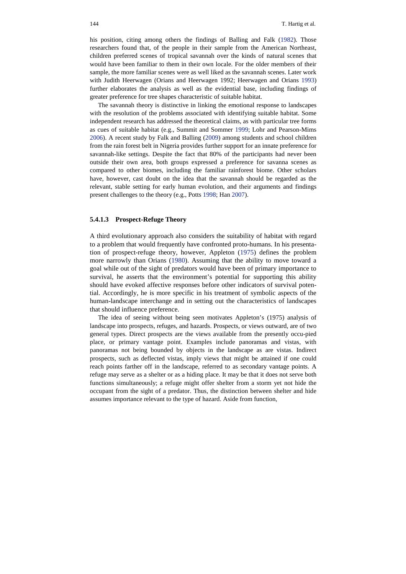his position, citing among others the findings of Balling and Falk (1982). Those researchers found that, of the people in their sample from the American Northeast, children preferred scenes of tropical savannah over the kinds of natural scenes that would have been familiar to them in their own locale. For the older members of their sample, the more familiar scenes were as well liked as the savannah scenes. Later work with Judith Heerwagen (Orians and Heerwagen 1992; Heerwagen and Orians 1993) further elaborates the analysis as well as the evidential base, including findings of greater preference for tree shapes characteristic of suitable habitat.

The savannah theory is distinctive in linking the emotional response to landscapes with the resolution of the problems associated with identifying suitable habitat. Some independent research has addressed the theoretical claims, as with particular tree forms as cues of suitable habitat (e.g., Summit and Sommer 1999; Lohr and Pearson-Mims 2006). A recent study by Falk and Balling (2009) among students and school children from the rain forest belt in Nigeria provides further support for an innate preference for savannah-like settings. Despite the fact that 80% of the participants had never been outside their own area, both groups expressed a preference for savanna scenes as compared to other biomes, including the familiar rainforest biome. Other scholars have, however, cast doubt on the idea that the savannah should be regarded as the relevant, stable setting for early human evolution, and their arguments and findings present challenges to the theory (e.g., Potts 1998; Han 2007).

#### **5.4.1.3 Prospect-Refuge Theory**

A third evolutionary approach also considers the suitability of habitat with regard to a problem that would frequently have confronted proto-humans. In his presentation of prospect-refuge theory, however, Appleton (1975) defines the problem more narrowly than Orians (1980). Assuming that the ability to move toward a goal while out of the sight of predators would have been of primary importance to survival, he asserts that the environment's potential for supporting this ability should have evoked affective responses before other indicators of survival potential. Accordingly, he is more specific in his treatment of symbolic aspects of the human-landscape interchange and in setting out the characteristics of landscapes that should influence preference.

The idea of seeing without being seen motivates Appleton's (1975) analysis of landscape into prospects, refuges, and hazards. Prospects, or views outward, are of two general types. Direct prospects are the views available from the presently occu-pied place, or primary vantage point. Examples include panoramas and vistas, with panoramas not being bounded by objects in the landscape as are vistas. Indirect prospects, such as deflected vistas, imply views that might be attained if one could reach points farther off in the landscape, referred to as secondary vantage points. A refuge may serve as a shelter or as a hiding place. It may be that it does not serve both functions simultaneously; a refuge might offer shelter from a storm yet not hide the occupant from the sight of a predator. Thus, the distinction between shelter and hide assumes importance relevant to the type of hazard. Aside from function,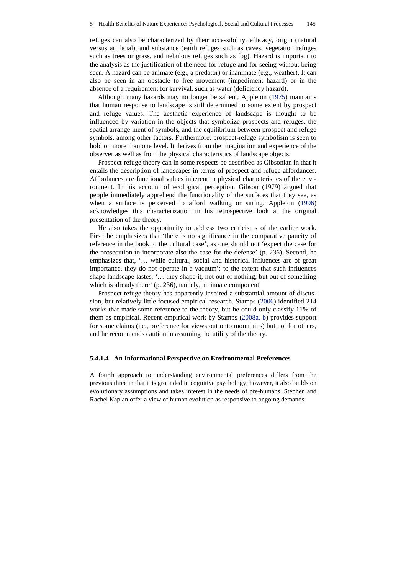refuges can also be characterized by their accessibility, efficacy, origin (natural versus artificial), and substance (earth refuges such as caves, vegetation refuges such as trees or grass, and nebulous refuges such as fog). Hazard is important to the analysis as the justification of the need for refuge and for seeing without being seen. A hazard can be animate (e.g., a predator) or inanimate (e.g., weather). It can also be seen in an obstacle to free movement (impediment hazard) or in the absence of a requirement for survival, such as water (deficiency hazard).

Although many hazards may no longer be salient, Appleton (1975) maintains that human response to landscape is still determined to some extent by prospect and refuge values. The aesthetic experience of landscape is thought to be influenced by variation in the objects that symbolize prospects and refuges, the spatial arrange-ment of symbols, and the equilibrium between prospect and refuge symbols, among other factors. Furthermore, prospect-refuge symbolism is seen to hold on more than one level. It derives from the imagination and experience of the observer as well as from the physical characteristics of landscape objects.

Prospect-refuge theory can in some respects be described as Gibsonian in that it entails the description of landscapes in terms of prospect and refuge affordances. Affordances are functional values inherent in physical characteristics of the environment. In his account of ecological perception, Gibson (1979) argued that people immediately apprehend the functionality of the surfaces that they see, as when a surface is perceived to afford walking or sitting. Appleton (1996) acknowledges this characterization in his retrospective look at the original presentation of the theory.

He also takes the opportunity to address two criticisms of the earlier work. First, he emphasizes that 'there is no significance in the comparative paucity of reference in the book to the cultural case', as one should not 'expect the case for the prosecution to incorporate also the case for the defense' (p. 236). Second, he emphasizes that, '… while cultural, social and historical influences are of great importance, they do not operate in a vacuum'; to the extent that such influences shape landscape tastes, '… they shape it, not out of nothing, but out of something which is already there' (p. 236), namely, an innate component.

Prospect-refuge theory has apparently inspired a substantial amount of discussion, but relatively little focused empirical research. Stamps (2006) identified 214 works that made some reference to the theory, but he could only classify 11% of them as empirical. Recent empirical work by Stamps (2008a, b) provides support for some claims (i.e., preference for views out onto mountains) but not for others, and he recommends caution in assuming the utility of the theory.

#### **5.4.1.4 An Informational Perspective on Environmental Preferences**

A fourth approach to understanding environmental preferences differs from the previous three in that it is grounded in cognitive psychology; however, it also builds on evolutionary assumptions and takes interest in the needs of pre-humans. Stephen and Rachel Kaplan offer a view of human evolution as responsive to ongoing demands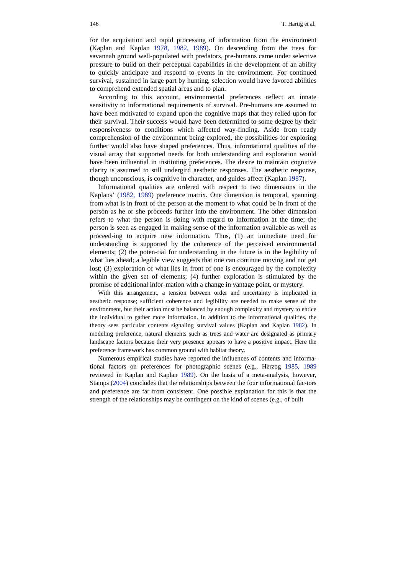for the acquisition and rapid processing of information from the environment (Kaplan and Kaplan 1978, 1982, 1989). On descending from the trees for savannah ground well-populated with predators, pre-humans came under selective pressure to build on their perceptual capabilities in the development of an ability to quickly anticipate and respond to events in the environment. For continued survival, sustained in large part by hunting, selection would have favored abilities to comprehend extended spatial areas and to plan.

According to this account, environmental preferences reflect an innate sensitivity to informational requirements of survival. Pre-humans are assumed to have been motivated to expand upon the cognitive maps that they relied upon for their survival. Their success would have been determined to some degree by their responsiveness to conditions which affected way-finding. Aside from ready comprehension of the environment being explored, the possibilities for exploring further would also have shaped preferences. Thus, informational qualities of the visual array that supported needs for both understanding and exploration would have been influential in instituting preferences. The desire to maintain cognitive clarity is assumed to still undergird aesthetic responses. The aesthetic response, though unconscious, is cognitive in character, and guides affect (Kaplan 1987).

Informational qualities are ordered with respect to two dimensions in the Kaplans' (1982, 1989) preference matrix. One dimension is temporal, spanning from what is in front of the person at the moment to what could be in front of the person as he or she proceeds further into the environment. The other dimension refers to what the person is doing with regard to information at the time; the person is seen as engaged in making sense of the information available as well as proceed-ing to acquire new information. Thus, (1) an immediate need for understanding is supported by the coherence of the perceived environmental elements; (2) the poten-tial for understanding in the future is in the legibility of what lies ahead; a legible view suggests that one can continue moving and not get lost; (3) exploration of what lies in front of one is encouraged by the complexity within the given set of elements; (4) further exploration is stimulated by the promise of additional infor-mation with a change in vantage point, or mystery.

With this arrangement, a tension between order and uncertainty is implicated in aesthetic response; sufficient coherence and legibility are needed to make sense of the environment, but their action must be balanced by enough complexity and mystery to entice the individual to gather more information. In addition to the informational qualities, the theory sees particular contents signaling survival values (Kaplan and Kaplan 1982). In modeling preference, natural elements such as trees and water are designated as primary landscape factors because their very presence appears to have a positive impact. Here the preference framework has common ground with habitat theory.

Numerous empirical studies have reported the influences of contents and informational factors on preferences for photographic scenes (e.g., Herzog 1985, 1989 reviewed in Kaplan and Kaplan 1989). On the basis of a meta-analysis, however, Stamps (2004) concludes that the relationships between the four informational fac-tors and preference are far from consistent. One possible explanation for this is that the strength of the relationships may be contingent on the kind of scenes (e.g., of built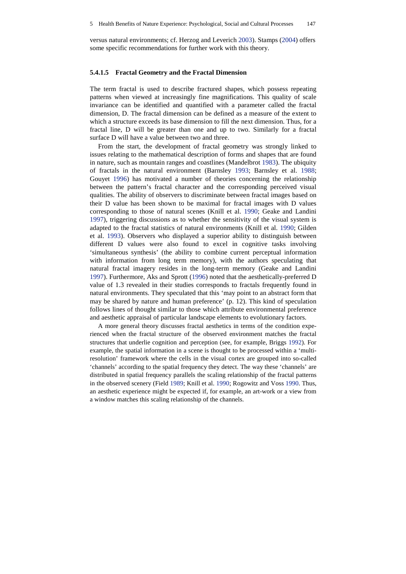versus natural environments; cf. Herzog and Leverich 2003). Stamps (2004) offers some specific recommendations for further work with this theory.

#### **5.4.1.5 Fractal Geometry and the Fractal Dimension**

The term fractal is used to describe fractured shapes, which possess repeating patterns when viewed at increasingly fine magnifications. This quality of scale invariance can be identified and quantified with a parameter called the fractal dimension, D. The fractal dimension can be defined as a measure of the extent to which a structure exceeds its base dimension to fill the next dimension. Thus, for a fractal line, D will be greater than one and up to two. Similarly for a fractal surface D will have a value between two and three.

From the start, the development of fractal geometry was strongly linked to issues relating to the mathematical description of forms and shapes that are found in nature, such as mountain ranges and coastlines (Mandelbrot 1983). The ubiquity of fractals in the natural environment (Barnsley 1993; Barnsley et al. 1988; Gouyet 1996) has motivated a number of theories concerning the relationship between the pattern's fractal character and the corresponding perceived visual qualities. The ability of observers to discriminate between fractal images based on their D value has been shown to be maximal for fractal images with D values corresponding to those of natural scenes (Knill et al. 1990; Geake and Landini 1997), triggering discussions as to whether the sensitivity of the visual system is adapted to the fractal statistics of natural environments (Knill et al. 1990; Gilden et al. 1993). Observers who displayed a superior ability to distinguish between different D values were also found to excel in cognitive tasks involving 'simultaneous synthesis' (the ability to combine current perceptual information with information from long term memory), with the authors speculating that natural fractal imagery resides in the long-term memory (Geake and Landini 1997). Furthermore, Aks and Sprott (1996) noted that the aesthetically-preferred D value of 1.3 revealed in their studies corresponds to fractals frequently found in natural environments. They speculated that this 'may point to an abstract form that may be shared by nature and human preference' (p. 12). This kind of speculation follows lines of thought similar to those which attribute environmental preference and aesthetic appraisal of particular landscape elements to evolutionary factors.

A more general theory discusses fractal aesthetics in terms of the condition experienced when the fractal structure of the observed environment matches the fractal structures that underlie cognition and perception (see, for example, Briggs 1992). For example, the spatial information in a scene is thought to be processed within a 'multiresolution' framework where the cells in the visual cortex are grouped into so-called 'channels' according to the spatial frequency they detect. The way these 'channels' are distributed in spatial frequency parallels the scaling relationship of the fractal patterns in the observed scenery (Field 1989; Knill et al. 1990; Rogowitz and Voss 1990. Thus, an aesthetic experience might be expected if, for example, an art-work or a view from a window matches this scaling relationship of the channels.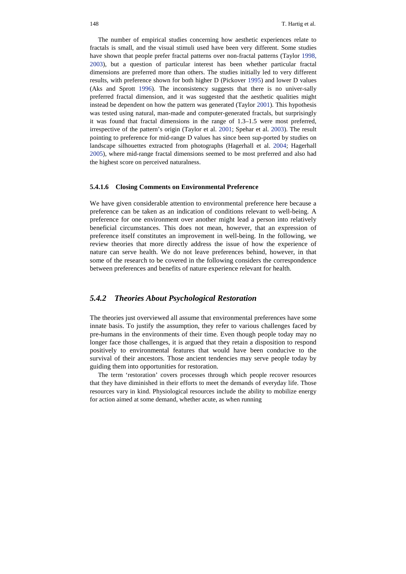The number of empirical studies concerning how aesthetic experiences relate to fractals is small, and the visual stimuli used have been very different. Some studies have shown that people prefer fractal patterns over non-fractal patterns (Taylor 1998, 2003), but a question of particular interest has been whether particular fractal dimensions are preferred more than others. The studies initially led to very different results, with preference shown for both higher D (Pickover 1995) and lower D values (Aks and Sprott 1996). The inconsistency suggests that there is no univer-sally preferred fractal dimension, and it was suggested that the aesthetic qualities might instead be dependent on how the pattern was generated (Taylor 2001). This hypothesis was tested using natural, man-made and computer-generated fractals, but surprisingly it was found that fractal dimensions in the range of 1.3–1.5 were most preferred, irrespective of the pattern's origin (Taylor et al. 2001; Spehar et al. 2003). The result pointing to preference for mid-range D values has since been sup-ported by studies on landscape silhouettes extracted from photographs (Hagerhall et al. 2004; Hagerhall 2005), where mid-range fractal dimensions seemed to be most preferred and also had the highest score on perceived naturalness.

#### **5.4.1.6 Closing Comments on Environmental Preference**

We have given considerable attention to environmental preference here because a preference can be taken as an indication of conditions relevant to well-being. A preference for one environment over another might lead a person into relatively beneficial circumstances. This does not mean, however, that an expression of preference itself constitutes an improvement in well-being. In the following, we review theories that more directly address the issue of how the experience of nature can serve health. We do not leave preferences behind, however, in that some of the research to be covered in the following considers the correspondence between preferences and benefits of nature experience relevant for health.

# *5.4.2 Theories About Psychological Restoration*

The theories just overviewed all assume that environmental preferences have some innate basis. To justify the assumption, they refer to various challenges faced by pre-humans in the environments of their time. Even though people today may no longer face those challenges, it is argued that they retain a disposition to respond positively to environmental features that would have been conducive to the survival of their ancestors. Those ancient tendencies may serve people today by guiding them into opportunities for restoration.

The term 'restoration' covers processes through which people recover resources that they have diminished in their efforts to meet the demands of everyday life. Those resources vary in kind. Physiological resources include the ability to mobilize energy for action aimed at some demand, whether acute, as when running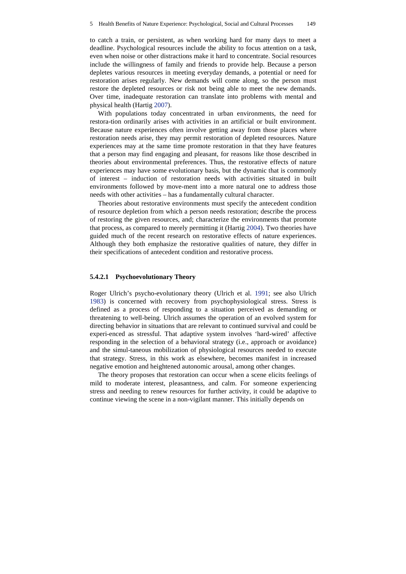to catch a train, or persistent, as when working hard for many days to meet a deadline. Psychological resources include the ability to focus attention on a task, even when noise or other distractions make it hard to concentrate. Social resources include the willingness of family and friends to provide help. Because a person depletes various resources in meeting everyday demands, a potential or need for restoration arises regularly. New demands will come along, so the person must restore the depleted resources or risk not being able to meet the new demands. Over time, inadequate restoration can translate into problems with mental and physical health (Hartig 2007).

With populations today concentrated in urban environments, the need for restora-tion ordinarily arises with activities in an artificial or built environment. Because nature experiences often involve getting away from those places where restoration needs arise, they may permit restoration of depleted resources. Nature experiences may at the same time promote restoration in that they have features that a person may find engaging and pleasant, for reasons like those described in theories about environmental preferences. Thus, the restorative effects of nature experiences may have some evolutionary basis, but the dynamic that is commonly of interest – induction of restoration needs with activities situated in built environments followed by move-ment into a more natural one to address those needs with other activities – has a fundamentally cultural character.

Theories about restorative environments must specify the antecedent condition of resource depletion from which a person needs restoration; describe the process of restoring the given resources, and; characterize the environments that promote that process, as compared to merely permitting it (Hartig 2004). Two theories have guided much of the recent research on restorative effects of nature experiences. Although they both emphasize the restorative qualities of nature, they differ in their specifications of antecedent condition and restorative process.

#### **5.4.2.1 Psychoevolutionary Theory**

Roger Ulrich's psycho-evolutionary theory (Ulrich et al. 1991; see also Ulrich 1983) is concerned with recovery from psychophysiological stress. Stress is defined as a process of responding to a situation perceived as demanding or threatening to well-being. Ulrich assumes the operation of an evolved system for directing behavior in situations that are relevant to continued survival and could be experi-enced as stressful. That adaptive system involves 'hard-wired' affective responding in the selection of a behavioral strategy (i.e., approach or avoidance) and the simul-taneous mobilization of physiological resources needed to execute that strategy. Stress, in this work as elsewhere, becomes manifest in increased negative emotion and heightened autonomic arousal, among other changes.

The theory proposes that restoration can occur when a scene elicits feelings of mild to moderate interest, pleasantness, and calm. For someone experiencing stress and needing to renew resources for further activity, it could be adaptive to continue viewing the scene in a non-vigilant manner. This initially depends on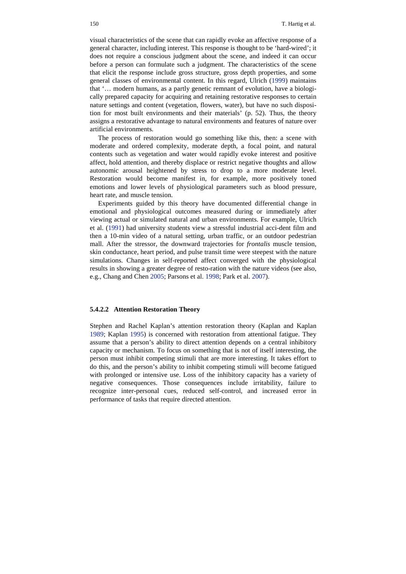visual characteristics of the scene that can rapidly evoke an affective response of a general character, including interest. This response is thought to be 'hard-wired'; it does not require a conscious judgment about the scene, and indeed it can occur before a person can formulate such a judgment. The characteristics of the scene that elicit the response include gross structure, gross depth properties, and some general classes of environmental content. In this regard, Ulrich (1999) maintains that '… modern humans, as a partly genetic remnant of evolution, have a biologically prepared capacity for acquiring and retaining restorative responses to certain nature settings and content (vegetation, flowers, water), but have no such disposition for most built environments and their materials' (p. 52). Thus, the theory assigns a restorative advantage to natural environments and features of nature over artificial environments.

The process of restoration would go something like this, then: a scene with moderate and ordered complexity, moderate depth, a focal point, and natural contents such as vegetation and water would rapidly evoke interest and positive affect, hold attention, and thereby displace or restrict negative thoughts and allow autonomic arousal heightened by stress to drop to a more moderate level. Restoration would become manifest in, for example, more positively toned emotions and lower levels of physiological parameters such as blood pressure, heart rate, and muscle tension.

Experiments guided by this theory have documented differential change in emotional and physiological outcomes measured during or immediately after viewing actual or simulated natural and urban environments. For example, Ulrich et al. (1991) had university students view a stressful industrial acci-dent film and then a 10-min video of a natural setting, urban traffic, or an outdoor pedestrian mall. After the stressor, the downward trajectories for *frontalis* muscle tension, skin conductance, heart period, and pulse transit time were steepest with the nature simulations. Changes in self-reported affect converged with the physiological results in showing a greater degree of resto-ration with the nature videos (see also, e.g., Chang and Chen 2005; Parsons et al. 1998; Park et al. 2007).

#### **5.4.2.2 Attention Restoration Theory**

Stephen and Rachel Kaplan's attention restoration theory (Kaplan and Kaplan 1989; Kaplan 1995) is concerned with restoration from attentional fatigue. They assume that a person's ability to direct attention depends on a central inhibitory capacity or mechanism. To focus on something that is not of itself interesting, the person must inhibit competing stimuli that are more interesting. It takes effort to do this, and the person's ability to inhibit competing stimuli will become fatigued with prolonged or intensive use. Loss of the inhibitory capacity has a variety of negative consequences. Those consequences include irritability, failure to recognize inter-personal cues, reduced self-control, and increased error in performance of tasks that require directed attention.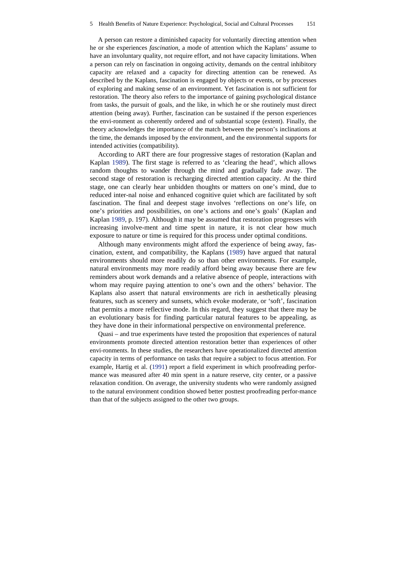A person can restore a diminished capacity for voluntarily directing attention when he or she experiences *fascination*, a mode of attention which the Kaplans' assume to have an involuntary quality, not require effort, and not have capacity limitations. When a person can rely on fascination in ongoing activity, demands on the central inhibitory capacity are relaxed and a capacity for directing attention can be renewed. As described by the Kaplans, fascination is engaged by objects or events, or by processes of exploring and making sense of an environment. Yet fascination is not sufficient for restoration. The theory also refers to the importance of gaining psychological distance from tasks, the pursuit of goals, and the like, in which he or she routinely must direct attention (being away). Further, fascination can be sustained if the person experiences the envi-ronment as coherently ordered and of substantial scope (extent). Finally, the theory acknowledges the importance of the match between the person's inclinations at the time, the demands imposed by the environment, and the environmental supports for intended activities (compatibility).

According to ART there are four progressive stages of restoration (Kaplan and Kaplan 1989). The first stage is referred to as 'clearing the head', which allows random thoughts to wander through the mind and gradually fade away. The second stage of restoration is recharging directed attention capacity. At the third stage, one can clearly hear unbidden thoughts or matters on one's mind, due to reduced inter-nal noise and enhanced cognitive quiet which are facilitated by soft fascination. The final and deepest stage involves 'reflections on one's life, on one's priorities and possibilities, on one's actions and one's goals' (Kaplan and Kaplan 1989, p. 197). Although it may be assumed that restoration progresses with increasing involve-ment and time spent in nature, it is not clear how much exposure to nature or time is required for this process under optimal conditions.

Although many environments might afford the experience of being away, fascination, extent, and compatibility, the Kaplans (1989) have argued that natural environments should more readily do so than other environments. For example, natural environments may more readily afford being away because there are few reminders about work demands and a relative absence of people, interactions with whom may require paying attention to one's own and the others' behavior. The Kaplans also assert that natural environments are rich in aesthetically pleasing features, such as scenery and sunsets, which evoke moderate, or 'soft', fascination that permits a more reflective mode. In this regard, they suggest that there may be an evolutionary basis for finding particular natural features to be appealing, as they have done in their informational perspective on environmental preference.

Quasi – and true experiments have tested the proposition that experiences of natural environments promote directed attention restoration better than experiences of other envi-ronments. In these studies, the researchers have operationalized directed attention capacity in terms of performance on tasks that require a subject to focus attention. For example, Hartig et al. (1991) report a field experiment in which proofreading performance was measured after 40 min spent in a nature reserve, city center, or a passive relaxation condition. On average, the university students who were randomly assigned to the natural environment condition showed better posttest proofreading perfor-mance than that of the subjects assigned to the other two groups.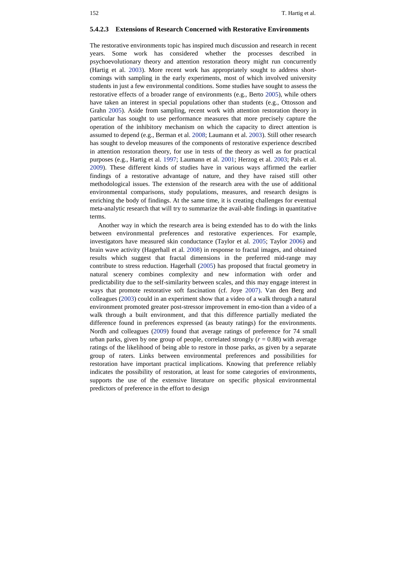#### **5.4.2.3 Extensions of Research Concerned with Restorative Environments**

The restorative environments topic has inspired much discussion and research in recent years. Some work has considered whether the processes described in psychoevolutionary theory and attention restoration theory might run concurrently (Hartig et al. 2003). More recent work has appropriately sought to address shortcomings with sampling in the early experiments, most of which involved university students in just a few environmental conditions. Some studies have sought to assess the restorative effects of a broader range of environments (e.g., Berto 2005), while others have taken an interest in special populations other than students (e.g., Ottosson and Grahn 2005). Aside from sampling, recent work with attention restoration theory in particular has sought to use performance measures that more precisely capture the operation of the inhibitory mechanism on which the capacity to direct attention is assumed to depend (e.g., Berman et al. 2008; Laumann et al. 2003). Still other research has sought to develop measures of the components of restorative experience described in attention restoration theory, for use in tests of the theory as well as for practical purposes (e.g., Hartig et al. 1997; Laumann et al. 2001; Herzog et al. 2003; Pals et al. 2009). These different kinds of studies have in various ways affirmed the earlier findings of a restorative advantage of nature, and they have raised still other methodological issues. The extension of the research area with the use of additional environmental comparisons, study populations, measures, and research designs is enriching the body of findings. At the same time, it is creating challenges for eventual meta-analytic research that will try to summarize the avail-able findings in quantitative terms.

Another way in which the research area is being extended has to do with the links between environmental preferences and restorative experiences. For example, investigators have measured skin conductance (Taylor et al. 2005; Taylor 2006) and brain wave activity (Hagerhall et al. 2008) in response to fractal images, and obtained results which suggest that fractal dimensions in the preferred mid-range may contribute to stress reduction. Hagerhall (2005) has proposed that fractal geometry in natural scenery combines complexity and new information with order and predictability due to the self-similarity between scales, and this may engage interest in ways that promote restorative soft fascination (cf. Joye 2007). Van den Berg and colleagues (2003) could in an experiment show that a video of a walk through a natural environment promoted greater post-stressor improvement in emo-tion than a video of a walk through a built environment, and that this difference partially mediated the difference found in preferences expressed (as beauty ratings) for the environments. Nordh and colleagues (2009) found that average ratings of preference for 74 small urban parks, given by one group of people, correlated strongly  $(r = 0.88)$  with average ratings of the likelihood of being able to restore in those parks, as given by a separate group of raters. Links between environmental preferences and possibilities for restoration have important practical implications. Knowing that preference reliably indicates the possibility of restoration, at least for some categories of environments, supports the use of the extensive literature on specific physical environmental predictors of preference in the effort to design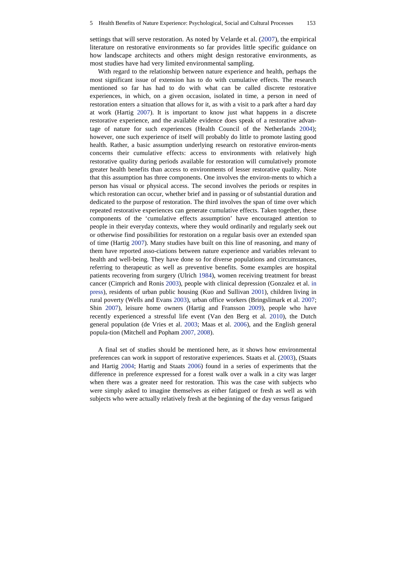settings that will serve restoration. As noted by Velarde et al. (2007), the empirical literature on restorative environments so far provides little specific guidance on how landscape architects and others might design restorative environments, as most studies have had very limited environmental sampling.

With regard to the relationship between nature experience and health, perhaps the most significant issue of extension has to do with cumulative effects. The research mentioned so far has had to do with what can be called discrete restorative experiences, in which, on a given occasion, isolated in time, a person in need of restoration enters a situation that allows for it, as with a visit to a park after a hard day at work (Hartig 2007). It is important to know just what happens in a discrete restorative experience, and the available evidence does speak of a restorative advantage of nature for such experiences (Health Council of the Netherlands 2004); however, one such experience of itself will probably do little to promote lasting good health. Rather, a basic assumption underlying research on restorative environ-ments concerns their cumulative effects: access to environments with relatively high restorative quality during periods available for restoration will cumulatively promote greater health benefits than access to environments of lesser restorative quality. Note that this assumption has three components. One involves the environ-ments to which a person has visual or physical access. The second involves the periods or respites in which restoration can occur, whether brief and in passing or of substantial duration and dedicated to the purpose of restoration. The third involves the span of time over which repeated restorative experiences can generate cumulative effects. Taken together, these components of the 'cumulative effects assumption' have encouraged attention to people in their everyday contexts, where they would ordinarily and regularly seek out or otherwise find possibilities for restoration on a regular basis over an extended span of time (Hartig 2007). Many studies have built on this line of reasoning, and many of them have reported asso-ciations between nature experience and variables relevant to health and well-being. They have done so for diverse populations and circumstances, referring to therapeutic as well as preventive benefits. Some examples are hospital patients recovering from surgery (Ulrich 1984), women receiving treatment for breast cancer (Cimprich and Ronis 2003), people with clinical depression (Gonzalez et al. in press), residents of urban public housing (Kuo and Sullivan 2001), children living in rural poverty (Wells and Evans 2003), urban office workers (Bringslimark et al. 2007; Shin 2007), leisure home owners (Hartig and Fransson 2009), people who have recently experienced a stressful life event (Van den Berg et al. 2010), the Dutch general population (de Vries et al. 2003; Maas et al. 2006), and the English general popula-tion (Mitchell and Popham 2007, 2008).

A final set of studies should be mentioned here, as it shows how environmental preferences can work in support of restorative experiences. Staats et al. (2003), (Staats and Hartig 2004; Hartig and Staats 2006) found in a series of experiments that the difference in preference expressed for a forest walk over a walk in a city was larger when there was a greater need for restoration. This was the case with subjects who were simply asked to imagine themselves as either fatigued or fresh as well as with subjects who were actually relatively fresh at the beginning of the day versus fatigued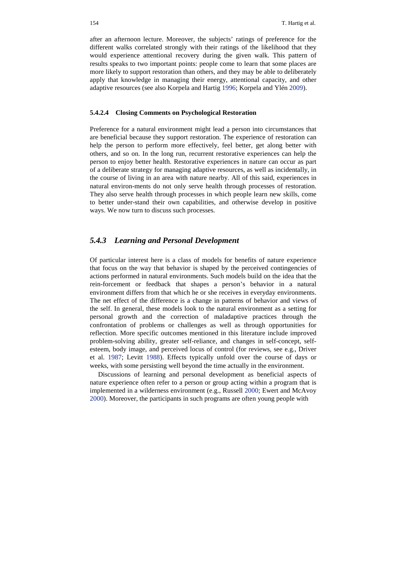after an afternoon lecture. Moreover, the subjects' ratings of preference for the different walks correlated strongly with their ratings of the likelihood that they would experience attentional recovery during the given walk. This pattern of results speaks to two important points: people come to learn that some places are more likely to support restoration than others, and they may be able to deliberately apply that knowledge in managing their energy, attentional capacity, and other adaptive resources (see also Korpela and Hartig 1996; Korpela and Ylén 2009).

#### **5.4.2.4 Closing Comments on Psychological Restoration**

Preference for a natural environment might lead a person into circumstances that are beneficial because they support restoration. The experience of restoration can help the person to perform more effectively, feel better, get along better with others, and so on. In the long run, recurrent restorative experiences can help the person to enjoy better health. Restorative experiences in nature can occur as part of a deliberate strategy for managing adaptive resources, as well as incidentally, in the course of living in an area with nature nearby. All of this said, experiences in natural environ-ments do not only serve health through processes of restoration. They also serve health through processes in which people learn new skills, come to better under-stand their own capabilities, and otherwise develop in positive ways. We now turn to discuss such processes.

# *5.4.3 Learning and Personal Development*

Of particular interest here is a class of models for benefits of nature experience that focus on the way that behavior is shaped by the perceived contingencies of actions performed in natural environments. Such models build on the idea that the rein-forcement or feedback that shapes a person's behavior in a natural environment differs from that which he or she receives in everyday environments. The net effect of the difference is a change in patterns of behavior and views of the self. In general, these models look to the natural environment as a setting for personal growth and the correction of maladaptive practices through the confrontation of problems or challenges as well as through opportunities for reflection. More specific outcomes mentioned in this literature include improved problem-solving ability, greater self-reliance, and changes in self-concept, selfesteem, body image, and perceived locus of control (for reviews, see e.g., Driver et al. 1987; Levitt 1988). Effects typically unfold over the course of days or weeks, with some persisting well beyond the time actually in the environment.

Discussions of learning and personal development as beneficial aspects of nature experience often refer to a person or group acting within a program that is implemented in a wilderness environment (e.g., Russell 2000; Ewert and McAvoy 2000). Moreover, the participants in such programs are often young people with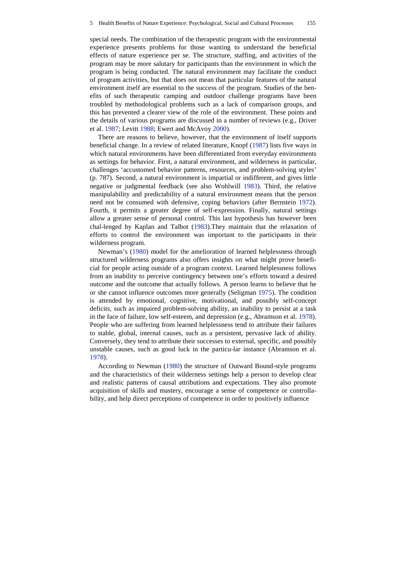special needs. The combination of the therapeutic program with the environmental experience presents problems for those wanting to understand the beneficial effects of nature experience per se. The structure, staffing, and activities of the program may be more salutary for participants than the environment in which the program is being conducted. The natural environment may facilitate the conduct of program activities, but that does not mean that particular features of the natural environment itself are essential to the success of the program. Studies of the benefits of such therapeutic camping and outdoor challenge programs have been troubled by methodological problems such as a lack of comparison groups, and this has prevented a clearer view of the role of the environment. These points and the details of various programs are discussed in a number of reviews (e.g., Driver et al. 1987; Levitt 1988; Ewert and McAvoy 2000).

There are reasons to believe, however, that the environment of itself supports beneficial change. In a review of related literature, Knopf (1987) lists five ways in which natural environments have been differentiated from everyday environments as settings for behavior. First, a natural environment, and wilderness in particular, challenges 'accustomed behavior patterns, resources, and problem-solving styles' (p. 787). Second, a natural environment is impartial or indifferent, and gives little negative or judgmental feedback (see also Wohlwill 1983). Third, the relative manipulability and predictability of a natural environment means that the person need not be consumed with defensive, coping behaviors (after Bernstein 1972). Fourth, it permits a greater degree of self-expression. Finally, natural settings allow a greater sense of personal control. This last hypothesis has however been chal-lenged by Kaplan and Talbot (1983).They maintain that the relaxation of efforts to control the environment was important to the participants in their wilderness program.

Newman's (1980) model for the amelioration of learned helplessness through structured wilderness programs also offers insights on what might prove beneficial for people acting outside of a program context. Learned helplessness follows from an inability to perceive contingency between one's efforts toward a desired outcome and the outcome that actually follows. A person learns to believe that he or she cannot influence outcomes more generally (Seligman 1975). The condition is attended by emotional, cognitive, motivational, and possibly self-concept deficits, such as impaired problem-solving ability, an inability to persist at a task in the face of failure, low self-esteem, and depression (e.g., Abramson et al. 1978). People who are suffering from learned helplessness tend to attribute their failures to stable, global, internal causes, such as a persistent, pervasive lack of ability. Conversely, they tend to attribute their successes to external, specific, and possibly unstable causes, such as good luck in the particu-lar instance (Abramson et al. 1978).

According to Newman (1980) the structure of Outward Bound-style programs and the characteristics of their wilderness settings help a person to develop clear and realistic patterns of causal attributions and expectations. They also promote acquisition of skills and mastery, encourage a sense of competence or controllability, and help direct perceptions of competence in order to positively influence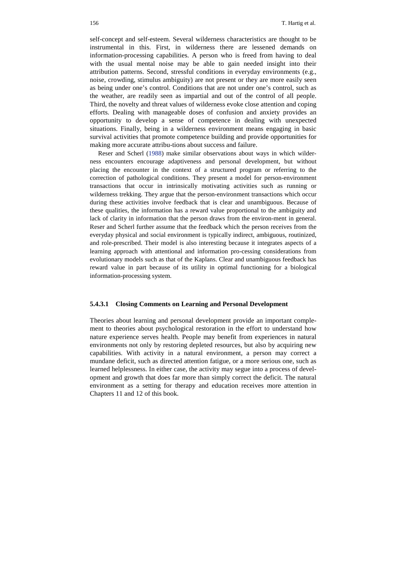self-concept and self-esteem. Several wilderness characteristics are thought to be instrumental in this. First, in wilderness there are lessened demands on information-processing capabilities. A person who is freed from having to deal with the usual mental noise may be able to gain needed insight into their attribution patterns. Second, stressful conditions in everyday environments (e.g., noise, crowding, stimulus ambiguity) are not present or they are more easily seen as being under one's control. Conditions that are not under one's control, such as the weather, are readily seen as impartial and out of the control of all people. Third, the novelty and threat values of wilderness evoke close attention and coping efforts. Dealing with manageable doses of confusion and anxiety provides an opportunity to develop a sense of competence in dealing with unexpected situations. Finally, being in a wilderness environment means engaging in basic survival activities that promote competence building and provide opportunities for making more accurate attribu-tions about success and failure.

Reser and Scherl (1988) make similar observations about ways in which wilderness encounters encourage adaptiveness and personal development, but without placing the encounter in the context of a structured program or referring to the correction of pathological conditions. They present a model for person-environment transactions that occur in intrinsically motivating activities such as running or wilderness trekking. They argue that the person-environment transactions which occur during these activities involve feedback that is clear and unambiguous. Because of these qualities, the information has a reward value proportional to the ambiguity and lack of clarity in information that the person draws from the environ-ment in general. Reser and Scherl further assume that the feedback which the person receives from the everyday physical and social environment is typically indirect, ambiguous, routinized, and role-prescribed. Their model is also interesting because it integrates aspects of a learning approach with attentional and information pro-cessing considerations from evolutionary models such as that of the Kaplans. Clear and unambiguous feedback has reward value in part because of its utility in optimal functioning for a biological information-processing system.

#### **5.4.3.1 Closing Comments on Learning and Personal Development**

Theories about learning and personal development provide an important complement to theories about psychological restoration in the effort to understand how nature experience serves health. People may benefit from experiences in natural environments not only by restoring depleted resources, but also by acquiring new capabilities. With activity in a natural environment, a person may correct a mundane deficit, such as directed attention fatigue, or a more serious one, such as learned helplessness. In either case, the activity may segue into a process of development and growth that does far more than simply correct the deficit. The natural environment as a setting for therapy and education receives more attention in Chapters 11 and 12 of this book.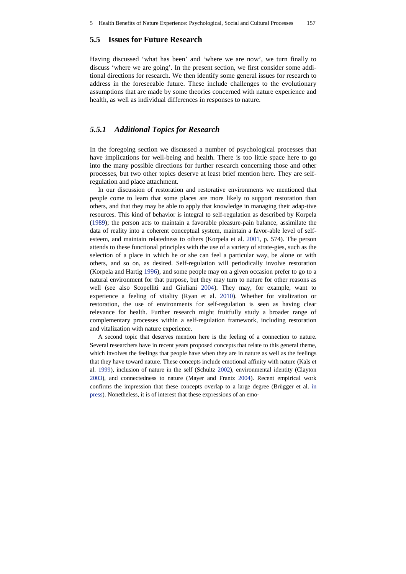# **5.5 Issues for Future Research**

Having discussed 'what has been' and 'where we are now', we turn finally to discuss 'where we are going'. In the present section, we first consider some additional directions for research. We then identify some general issues for research to address in the foreseeable future. These include challenges to the evolutionary assumptions that are made by some theories concerned with nature experience and health, as well as individual differences in responses to nature.

## *5.5.1 Additional Topics for Research*

In the foregoing section we discussed a number of psychological processes that have implications for well-being and health. There is too little space here to go into the many possible directions for further research concerning those and other processes, but two other topics deserve at least brief mention here. They are selfregulation and place attachment.

In our discussion of restoration and restorative environments we mentioned that people come to learn that some places are more likely to support restoration than others, and that they may be able to apply that knowledge in managing their adap-tive resources. This kind of behavior is integral to self-regulation as described by Korpela (1989); the person acts to maintain a favorable pleasure-pain balance, assimilate the data of reality into a coherent conceptual system, maintain a favor-able level of selfesteem, and maintain relatedness to others (Korpela et al. 2001, p. 574). The person attends to these functional principles with the use of a variety of strate-gies, such as the selection of a place in which he or she can feel a particular way, be alone or with others, and so on, as desired. Self-regulation will periodically involve restoration (Korpela and Hartig 1996), and some people may on a given occasion prefer to go to a natural environment for that purpose, but they may turn to nature for other reasons as well (see also Scopelliti and Giuliani 2004). They may, for example, want to experience a feeling of vitality (Ryan et al. 2010). Whether for vitalization or restoration, the use of environments for self-regulation is seen as having clear relevance for health. Further research might fruitfully study a broader range of complementary processes within a self-regulation framework, including restoration and vitalization with nature experience.

A second topic that deserves mention here is the feeling of a connection to nature. Several researchers have in recent years proposed concepts that relate to this general theme, which involves the feelings that people have when they are in nature as well as the feelings that they have toward nature. These concepts include emotional affinity with nature (Kals et al. 1999), inclusion of nature in the self (Schultz 2002), environmental identity (Clayton 2003), and connectedness to nature (Mayer and Frantz 2004). Recent empirical work confirms the impression that these concepts overlap to a large degree (Brügger et al. in press). Nonetheless, it is of interest that these expressions of an emo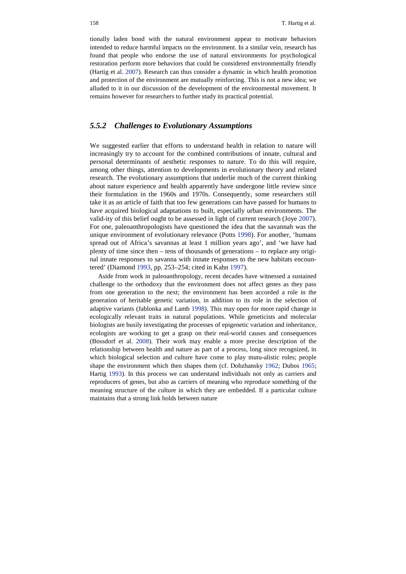tionally laden bond with the natural environment appear to motivate behaviors intended to reduce harmful impacts on the environment. In a similar vein, research has found that people who endorse the use of natural environments for psychological restoration perform more behaviors that could be considered environmentally friendly (Hartig et al. 2007). Research can thus consider a dynamic in which health promotion and protection of the environment are mutually reinforcing. This is not a new idea; we alluded to it in our discussion of the development of the environmental movement. It remains however for researchers to further study its practical potential.

# *5.5.2 Challenges to Evolutionary Assumptions*

We suggested earlier that efforts to understand health in relation to nature will increasingly try to account for the combined contributions of innate, cultural and personal determinants of aesthetic responses to nature. To do this will require, among other things, attention to developments in evolutionary theory and related research. The evolutionary assumptions that underlie much of the current thinking about nature experience and health apparently have undergone little review since their formulation in the 1960s and 1970s. Consequently, some researchers still take it as an article of faith that too few generations can have passed for humans to have acquired biological adaptations to built, especially urban environments. The valid-ity of this belief ought to be assessed in light of current research (Joye 2007). For one, paleoanthropologists have questioned the idea that the savannah was the unique environment of evolutionary relevance (Potts 1998). For another, 'humans spread out of Africa's savannas at least 1 million years ago', and 'we have had plenty of time since then – tens of thousands of generations – to replace any original innate responses to savanna with innate responses to the new habitats encountered' (Diamond 1993, pp. 253–254; cited in Kahn 1997).

Aside from work in paleoanthropology, recent decades have witnessed a sustained challenge to the orthodoxy that the environment does not affect genes as they pass from one generation to the next; the environment has been accorded a role in the generation of heritable genetic variation, in addition to its role in the selection of adaptive variants (Jablonka and Lamb 1998). This may open for more rapid change in ecologically relevant traits in natural populations. While geneticists and molecular biologists are busily investigating the processes of epigenetic variation and inheritance, ecologists are working to get a grasp on their real-world causes and consequences (Bossdorf et al. 2008). Their work may enable a more precise description of the relationship between health and nature as part of a process, long since recognized, in which biological selection and culture have come to play mutu-alistic roles; people shape the environment which then shapes them (cf. Dobzhansky 1962; Dubos 1965; Hartig 1993). In this process we can understand individuals not only as carriers and reproducers of genes, but also as carriers of meaning who reproduce something of the meaning structure of the culture in which they are embedded. If a particular culture maintains that a strong link holds between nature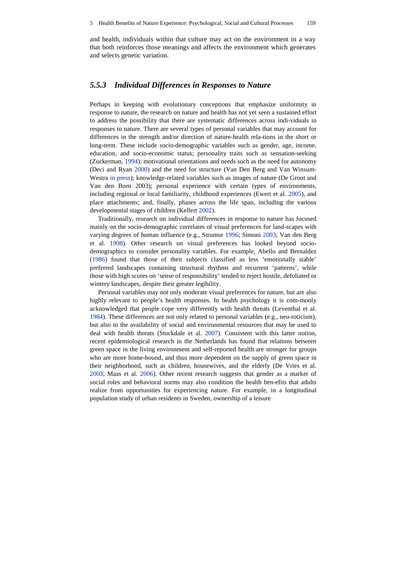and health, individuals within that culture may act on the environment in a way that both reinforces those meanings and affects the environment which generates and selects genetic variation.

# *5.5.3 Individual Differences in Responses to Nature*

Perhaps in keeping with evolutionary conceptions that emphasize uniformity in response to nature, the research on nature and health has not yet seen a sustained effort to address the possibility that there are systematic differences across indi-viduals in responses to nature. There are several types of personal variables that may account for differences in the strength and/or direction of nature-health rela-tions in the short or long-term. These include socio-demographic variables such as gender, age, income, education, and socio-economic status; personality traits such as sensation-seeking (Zuckerman, 1994); motivational orientations and needs such as the need for autonomy (Deci and Ryan 2000) and the need for structure (Van Den Berg and Van Winsum-Westra in press); knowledge-related variables such as images of nature (De Groot and Van den Born 2003); personal experience with certain types of environments, including regional or local familiarity, childhood experiences (Ewert et al. 2005), and place attachments; and, finally, phases across the life span, including the various developmental stages of children (Kellert 2002).

Traditionally, research on individual differences in response to nature has focused mainly on the socio-demographic correlates of visual preferences for land-scapes with varying degrees of human influence (e.g., Strumse 1996; Simoni 2003; Van den Berg et al. 1998). Other research on visual preferences has looked beyond sociodemographics to consider personality variables. For example, Abello and Bernaldez (1986) found that those of their subjects classified as less 'emotionally stable' preferred landscapes containing structural rhythms and recurrent 'patterns', while those with high scores on 'sense of responsibility' tended to reject hostile, defoliated or wintery landscapes, despite their greater legibility.

Personal variables may not only moderate visual preferences for nature, but are also highly relevant to people's health responses. In health psychology it is com-monly acknowledged that people cope very differently with health threats (Leventhal et al. 1984). These differences are not only related to personal variables (e.g., neu-roticism), but also to the availability of social and environmental resources that may be used to deal with health threats (Stockdale et al. 2007). Consistent with this latter notion, recent epidemiological research in the Netherlands has found that relations between green space in the living environment and self-reported health are stronger for groups who are more home-bound, and thus more dependent on the supply of green space in their neighborhood, such as children, housewives, and the elderly (De Vries et al. 2003; Maas et al. 2006). Other recent research suggests that gender as a marker of social roles and behavioral norms may also condition the health ben-efits that adults realize from opportunities for experiencing nature. For example, in a longitudinal population study of urban residents in Sweden, ownership of a leisure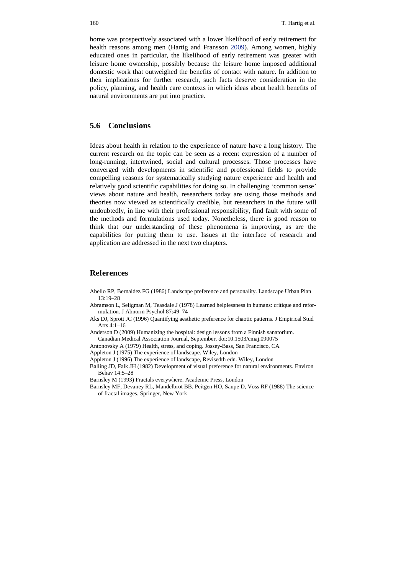home was prospectively associated with a lower likelihood of early retirement for health reasons among men (Hartig and Fransson 2009). Among women, highly educated ones in particular, the likelihood of early retirement was greater with leisure home ownership, possibly because the leisure home imposed additional domestic work that outweighed the benefits of contact with nature. In addition to their implications for further research, such facts deserve consideration in the policy, planning, and health care contexts in which ideas about health benefits of natural environments are put into practice.

### **5.6 Conclusions**

Ideas about health in relation to the experience of nature have a long history. The current research on the topic can be seen as a recent expression of a number of long-running, intertwined, social and cultural processes. Those processes have converged with developments in scientific and professional fields to provide compelling reasons for systematically studying nature experience and health and relatively good scientific capabilities for doing so. In challenging 'common sense' views about nature and health, researchers today are using those methods and theories now viewed as scientifically credible, but researchers in the future will undoubtedly, in line with their professional responsibility, find fault with some of the methods and formulations used today. Nonetheless, there is good reason to think that our understanding of these phenomena is improving, as are the capabilities for putting them to use. Issues at the interface of research and application are addressed in the next two chapters.

### **References**

Abello RP, Bernaldez FG (1986) Landscape preference and personality. Landscape Urban Plan 13:19–28

Abramson L, Seligman M, Teasdale J (1978) Learned helplessness in humans: critique and reformulation. J Abnorm Psychol 87:49–74

Aks DJ, Sprott JC (1996) Quantifying aesthetic preference for chaotic patterns. J Empirical Stud Arts 4:1–16

Anderson D (2009) Humanizing the hospital: design lessons from a Finnish sanatorium.

Canadian Medical Association Journal, September, doi:10.1503/cmaj.090075

Antonovsky A (1979) Health, stress, and coping. Jossey-Bass, San Francisco, CA

Appleton J (1975) The experience of landscape. Wiley, London

Appleton J (1996) The experience of landscape, Revisedth edn. Wiley, London

Balling JD, Falk JH (1982) Development of visual preference for natural environments. Environ Behav 14:5–28

Barnsley M (1993) Fractals everywhere. Academic Press, London

Barnsley MF, Devaney RL, Mandelbrot BB, Peitgen HO, Saupe D, Voss RF (1988) The science of fractal images. Springer, New York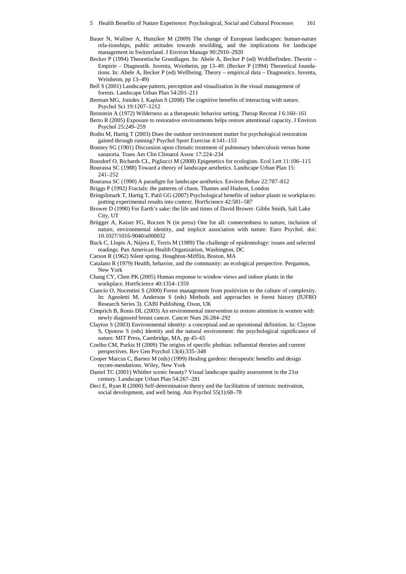- Bauer N, Wallner A, Hunziker M (2009) The change of European landscapes: human-nature rela-tionships, public attitudes towards rewilding, and the implications for landscape management in Switzerland. J Environ Manage 90:2910–2920
- Becker P (1994) Theoretische Grundlagen. In: Abele A, Becker P (ed) Wohlbefinden. Theorie Empirie – Diagnostik. Juventa, Weinheim, pp 13–49. (Becker P (1994) Theoretical foundations. In: Abele A, Becker P (ed) Wellbeing. Theory – empirical data – Diagnostics. Juventa, Weinheim, pp 13–49)
- Bell S (2001) Landscape pattern, perception and visualisation in the visual management of forests. Landscape Urban Plan 54:201–211
- Berman MG, Jonides J, Kaplan S (2008) The cognitive benefits of interacting with nature. Psychol Sci 19:1207–1212
- Bernstein A (1972) Wilderness as a therapeutic behavior setting. Therap Recreat J 6:160–161
- Berto R (2005) Exposure to restorative environments helps restore attentional capacity. J Environ Psychol 25:249–259
- Bodin M, Hartig T (2003) Does the outdoor environment matter for psychological restoration gained through running? Psychol Sport Exercise 4:141–153
- Bonney SG (1901) Discussion upon climatic treatment of pulmonary tuberculosis versus home sanatoria. Trans Am Clin Climatol Assoc 17:224–234
- Bossdorf O, Richards CL, Pigliucci M (2008) Epigenetics for ecologists. Ecol Lett 11:106–115 Bourassa SC (1988) Toward a theory of landscape aesthetics. Landscape Urban Plan 15:
	- 241–252
- Bourassa SC (1990) A paradigm for landscape aesthetics. Environ Behav 22:787–812
- Briggs P (1992) Fractals: the patterns of chaos. Thames and Hudson, London Bringslimark T, Hartig T, Patil GG (2007) Psychological benefits of indoor plants in workplaces: putting experimental results into context. HortScience 42:581–587
- Brower D (1990) For Earth's sake: the life and times of David Brower. Gibbs Smith, Salt Lake City, UT
- Brügger A, Kaiser FG, Roczen N (in press) One for all: connectedness to nature, inclusion of nature, environmental identity, and implicit association with nature. Euro Psychol. doi: 10.1027/1016-9040/a000032
- Buck C, Llopis A, Nájera E, Terris M (1989) The challenge of epidemiology: issues and selected readings. Pan American Health Organization, Washington, DC
- Carson R (1962) Silent spring. Houghton-Mifflin, Boston, MA
- Catalano R (1979) Health, behavior, and the community: an ecological perspective. Pergamon, New York
- Chang CY, Chen PK (2005) Human response to window views and indoor plants in the workplace. HortScience 40:1354–1359
- Ciancio O, Nocentini S (2000) Forest management from positivism to the culture of complexity. In: Agnoletti M, Anderson S (eds) Methods and approaches in forest history (IUFRO Research Series 3). CABI Publishing, Oxon, UK
- Cimprich B, Ronis DL (2003) An environmental intervention to restore attention in women with newly diagnosed breast cancer. Cancer Nurs 26:284–292
- Clayton S (2003) Environmental identity: a conceptual and an operational definition. In: Clayton S, Opotow S (eds) Identity and the natural environment: the psychological significance of nature. MIT Press, Cambridge, MA, pp 45–65
- Coelho CM, Purkis H (2009) The origins of specific phobias: influential theories and current perspectives. Rev Gen Psychol 13(4):335–348
- Cooper Marcus C, Barnes M (eds) (1999) Healing gardens: therapeutic benefits and design recom-mendations. Wiley, New York
- Daniel TC (2001) Whither scenic beauty? Visual landscape quality assessment in the 21st century. Landscape Urban Plan 54:267–281
- Deci E, Ryan R (2000) Self-determination theory and the facilitation of intrinsic motivation, social development, and well being. Am Psychol 55(1):68–78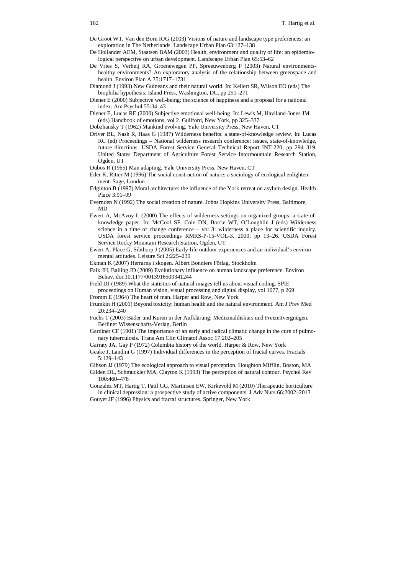- De Groot WT, Van den Born RJG (2003) Visions of nature and landscape type preferences: an exploration in The Netherlands. Landscape Urban Plan 63:127–138
- De Hollander AEM, Staatsen BAM (2003) Health, environment and quality of life: an epidemiological perspective on urban development. Landscape Urban Plan 65:53–62
- De Vries S, Verheij RA, Groenewegen PP, Spreeuwenberg P (2003) Natural environmentshealthy environments? An exploratory analysis of the relationship between greenspace and health. Environ Plan A 35:1717–1731
- Diamond J (1993) New Guineans and their natural world. In: Kellert SR, Wilson EO (eds) The biophilia hypothesis. Island Press, Washington, DC, pp 251–271
- Diener E (2000) Subjective well-being: the science of happiness and a proposal for a national index. Am Psychol 55:34–43

Diener E, Lucas RE (2000) Subjective emotional well-being. In: Lewis M, Haviland-Jones JM (eds) Handbook of emotions, vol 2. Guilford, New York, pp 325–337

- Dobzhansky T (1962) Mankind evolving. Yale University Press, New Haven, CT
- Driver BL, Nash R, Haas G (1987) Wilderness benefits: a state-of-knowledge review. In: Lucas RC (ed) Proceedings – National wilderness research conference: issues, state-of-knowledge, future directions. USDA Forest Service General Technical Report INT-220, pp 294–319. United States Department of Agriculture Forest Service Intermountain Research Station, Ogden, UT
- Dubos R (1965) Man adapting. Yale University Press, New Haven, CT
- Eder K, Ritter M (1996) The social construction of nature: a sociology of ecological enlightenment. Sage, London
- Edginton B (1997) Moral architecture: the influence of the York retreat on asylum design. Health Place 3:91–99
- Evernden N (1992) The social creation of nature. Johns Hopkins University Press, Baltimore, MD
- Ewert A, McAvoy L (2000) The effects of wilderness settings on organized groups: a state-ofknowledge paper. In: McCool SF, Cole DN, Borrie WT, O'Loughlin J (eds) Wilderness science in a time of change conference – vol 3: wilderness a place for scientific inquiry. USDA forest service proceedings RMRS-P-15-VOL-3, 2000, pp 13–26. USDA Forest Service Rocky Mountain Research Station, Ogden, UT
- Ewert A, Place G, Sibthorp J (2005) Early-life outdoor experiences and an individual's environmental attitudes. Leisure Sci 2:225–239
- Ekman K (2007) Herrarna i skogen. Albert Bonniers Förlag, Stockholm
- Falk JH, Balling JD (2009) Evolutionary influence on human landscape preference. Environ Behav. doi:10.1177/0013916509341244
- Field DJ (1989) What the statistics of natural images tell us about visual coding. SPIE
- proceedings on Human vision, visual processing and digital display, vol 1077, p 269 Fromm E (1964) The heart of man. Harper and Row, New York
- Frumkin H (2001) Beyond toxicity: human health and the natural environment. Am J Prev Med 20:234–240
- Fuchs T (2003) Bäder und Kuren in der Aufklärung: Medizinaldiskurs und Freizeitvergnügen. Berliner Wissenschafts-Verlag, Berlin

Gardiner CF (1901) The importance of an early and radical climatic change in the cure of pulmonary tuberculosis. Trans Am Clin Climatol Assoc 17:202–205

- Garraty JA, Gay P (1972) Columbia history of the world. Harper & Row, New York
- Geake J, Landini G (1997) Individual differences in the perception of fractal curves. Fractals  $5.129 - 143$

Gibson JJ (1979) The ecological approach to visual perception. Houghton Mifflin, Boston, MA

Gilden DL, Schmuckler MA, Clayton K (1993) The perception of natural contour. Psychol Rev 100:460–478

Gonzalez MT, Hartig T, Patil GG, Martinsen EW, Kirkevold M (2010) Therapeutic horticulture in clinical depression: a prospective study of active components. J Adv Nurs 66:2002–2013 Gouyet JF (1996) Physics and fractal structures. Springer, New York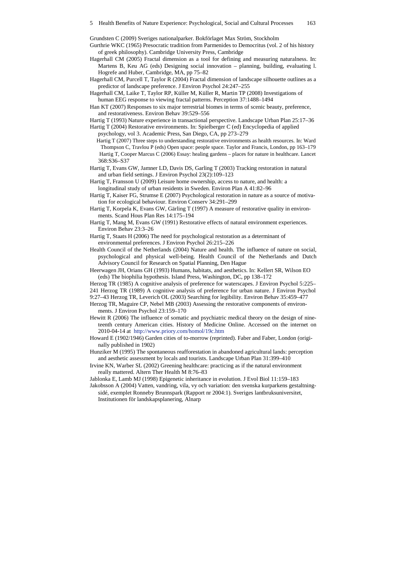Grundsten C (2009) Sveriges nationalparker. Bokförlaget Max Ström, Stockholm

- Gurthrie WKC (1965) Presocratic tradition from Parmenides to Democritus (vol. 2 of his history of greek philosophy). Cambridge University Press, Cambridge
- Hagerhall CM (2005) Fractal dimension as a tool for defining and measuring naturalness. In: Martens B, Keu AG (eds) Designing social innovation – planning, building, evaluating l. Hogrefe and Huber, Cambridge, MA, pp 75–82
- Hagerhall CM, Purcell T, Taylor R (2004) Fractal dimension of landscape silhouette outlines as a predictor of landscape preference. J Environ Psychol 24:247–255
- Hagerhall CM, Laike T, Taylor RP, Küller M, Küller R, Martin TP (2008) Investigations of human EEG response to viewing fractal patterns. Perception 37:1488–1494
- Han KT (2007) Responses to six major terrestrial biomes in terms of scenic beauty, preference, and restorativeness. Environ Behav 39:529–556
- Hartig T (1993) Nature experience in transactional perspective. Landscape Urban Plan 25:17–36

Hartig T (2004) Restorative environments. In: Spielberger C (ed) Encyclopedia of applied psychology, vol 3. Academic Press, San Diego, CA, pp 273–279

- Hartig T (2007) Three steps to understanding restorative environments as health resources. In: Ward Thompson C, Travlou P (eds) Open space: people space. Taylor and Francis, London, pp 163–179 Hartig T, Cooper Marcus C (2006) Essay: healing gardens – places for nature in healthcare. Lancet 368:S36–S37
- Hartig T, Evans GW, Jamner LD, Davis DS, Garling T (2003) Tracking restoration in natural and urban field settings. J Environ Psychol 23(2):109–123
- Hartig T, Fransson U (2009) Leisure home ownership, access to nature, and health: a longitudinal study of urban residents in Sweden. Environ Plan A 41:82–96
- Hartig T, Kaiser FG, Strumse E (2007) Psychological restoration in nature as a source of motivation for ecological behaviour. Environ Conserv 34:291–299
- Hartig T, Korpela K, Evans GW, Gärling T (1997) A measure of restorative quality in environments. Scand Hous Plan Res 14:175–194
- Hartig T, Mang M, Evans GW (1991) Restorative effects of natural environment experiences. Environ Behav 23:3–26
- Hartig T, Staats H (2006) The need for psychological restoration as a determinant of environmental preferences. J Environ Psychol 26:215–226
- Health Council of the Netherlands (2004) Nature and health. The influence of nature on social, psychological and physical well-being. Health Council of the Netherlands and Dutch Advisory Council for Research on Spatial Planning, Den Hague
- Heerwagen JH, Orians GH (1993) Humans, habitats, and aesthetics. In: Kellert SR, Wilson EO (eds) The biophilia hypothesis. Island Press, Washington, DC, pp 138–172
- Herzog TR (1985) A cognitive analysis of preference for waterscapes. J Environ Psychol 5:225–
- 241 Herzog TR (1989) A cognitive analysis of preference for urban nature. J Environ Psychol 9:27–43 Herzog TR, Leverich OL (2003) Searching for legibility. Environ Behav 35:459–477
- Herzog TR, Maguire CP, Nebel MB (2003) Assessing the restorative components of environments. J Environ Psychol 23:159–170
- Hewitt R (2006) The influence of somatic and psychiatric medical theory on the design of nineteenth century American cities. History of Medicine Online. Accessed on the internet on 2010-04-14 at http://www.priory.com/homol/19c.htm
- Howard E (1902/1946) Garden cities of to-morrow (reprinted). Faber and Faber, London (originally published in 1902)
- Hunziker M (1995) The spontaneous reafforestation in abandoned agricultural lands: perception and aesthetic assessment by locals and tourists. Landscape Urban Plan 31:399–410
- Irvine KN, Warber SL (2002) Greening healthcare: practicing as if the natural environment really mattered. Altern Ther Health M 8:76–83
- Jablonka E, Lamb MJ (1998) Epigenetic inheritance in evolution. J Evol Biol 11:159–183
- Jakobsson A (2004) Vatten, vandring, vila, vy och variation: den svenska kurparkens gestaltningsidé, exemplet Ronneby Brunnspark (Rapport nr 2004:1). Sveriges lantbruksuniversitet, Institutionen för landskapsplanering, Alnarp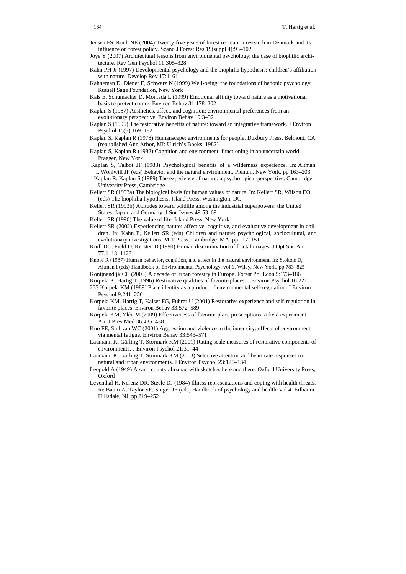- Jensen FS, Koch NE (2004) Twenty-five years of forest recreation research in Denmark and its influence on forest policy. Scand J Forest Res 19(suppl 4):93–102
- Joye Y (2007) Architectural lessons from environmental psychology: the case of biophilic architecture. Rev Gen Psychol 11:305–328
- Kahn PH Jr (1997) Developmental psychology and the biophilia hypothesis: children's affiliation with nature. Develop Rev 17:1–61
- Kahneman D, Diener E, Schwarz N (1999) Well-being: the foundations of hedonic psychology. Russell Sage Foundation, New York
- Kals E, Schumacher D, Montada L (1999) Emotional affinity toward nature as a motivational basis to protect nature. Environ Behav 31:178–202
- Kaplan S (1987) Aesthetics, affect, and cognition: environmental preferences from an evolutionary perspective. Environ Behav 19:3–32
- Kaplan S (1995) The restorative benefits of nature: toward an integrative framework. J Environ Psychol 15(3):169–182
- Kaplan S, Kaplan R (1978) Humanscape: environments for people. Duxbury Press, Belmont, CA (republished Ann Arbor, MI: Ulrich's Books, 1982)
- Kaplan S, Kaplan R (1982) Cognition and environment: functioning in an uncertain world. Praeger, New York
- Kaplan S, Talbot JF (1983) Psychological benefits of a wilderness experience. In: Altman I, Wohlwill JF (eds) Behavior and the natural environment. Plenum, New York, pp 163–203 Kaplan R, Kaplan S (1989) The experience of nature: a psychological perspective. Cambridge University Press, Cambridge
- Kellert SR (1993a) The biological basis for human values of nature. In: Kellert SR, Wilson EO (eds) The biophilia hypothesis. Island Press, Washington, DC
- Kellert SR (1993b) Attitudes toward wildlife among the industrial superpowers: the United States, Japan, and Germany. J Soc Issues 49:53–69
- Kellert SR (1996) The value of life. Island Press, New York
- Kellert SR (2002) Experiencing nature: affective, cognitive, and evaluative development in children. In: Kahn P, Kellert SR (eds) Children and nature: psychological, sociocultural, and evolutionary investigations. MIT Press, Cambridge, MA, pp 117–151
- Knill DC, Field D, Kersten D (1990) Human discrimination of fractal images. J Opt Soc Am 77:1113–1123
- Knopf R (1987) Human behavior, cognition, and affect in the natural environment. In: Stokols D, Altman I (eds) Handbook of Environmental Psychology, vol 1. Wiley, New York, pp 783–825
- Konijnendijk CC (2003) A decade of urban forestry in Europe. Forest Pol Econ 5:173–186
- Korpela K, Hartig T (1996) Restorative qualities of favorite places. J Environ Psychol 16:221–
- 233 Korpela KM (1989) Place identity as a product of environmental self-regulation. J Environ Psychol 9:241–256
- Korpela KM, Hartig T, Kaiser FG, Fuhrer U (2001) Restorative experience and self-regulation in favorite places. Environ Behav 33:572–589
- Korpela KM, Ylén M (2009) Effectiveness of favorite-place prescriptions: a field experiment. Am J Prev Med 36:435–438
- Kuo FE, Sullivan WC (2001) Aggression and violence in the inner city: effects of environment via mental fatigue. Environ Behav 33:543–571
- Laumann K, Gärling T, Stormark KM (2001) Rating scale measures of restorative components of environments. J Environ Psychol 21:31–44
- Laumann K, Gärling T, Stormark KM (2003) Selective attention and heart rate responses to natural and urban environments. J Environ Psychol 23:125–134
- Leopold A (1949) A sand county almanac with sketches here and there. Oxford University Press, Oxford
- Leventhal H, Nerenz DR, Steele DJ (1984) Illness representations and coping with health threats. In: Baum A, Taylor SE, Singer JE (eds) Handbook of psychology and health: vol 4. Erlbaum, Hillsdale, NJ, pp 219–252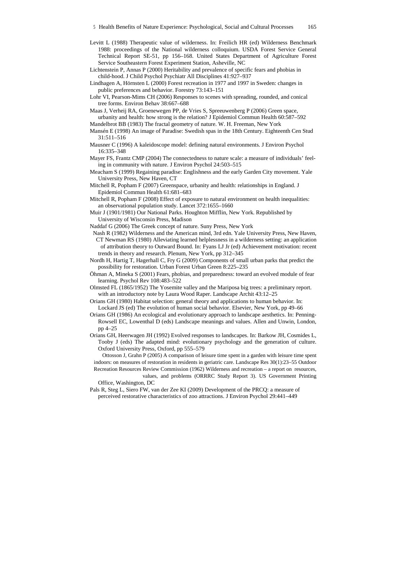- Levitt L (1988) Therapeutic value of wilderness. In: Freilich HR (ed) Wilderness Benchmark 1988: proceedings of the National wilderness colloquium. USDA Forest Service General Technical Report SE-51, pp 156–168. United States Department of Agriculture Forest Service Southeastern Forest Experiment Station, Asheville, NC
- Lichtenstein P, Annas P (2000) Heritability and prevalence of specific fears and phobias in child-hood. J Child Psychol Psychiatr All Disciplines 41:927–937
- Lindhagen A, Hörnsten L (2000) Forest recreation in 1977 and 1997 in Sweden: changes in public preferences and behavior. Forestry 73:143–151
- Lohr VI, Pearson-Mims CH (2006) Responses to scenes with spreading, rounded, and conical tree forms. Environ Behav 38:667–688
- Maas J, Verheij RA, Groenewegen PP, de Vries S, Spreeuwenberg P (2006) Green space, urbanity and health: how strong is the relation? J Epidemiol Commun Health 60:587–592 Mandelbrot BB (1983) The fractal geometry of nature. W. H. Freeman, New York
- Mansén E (1998) An image of Paradise: Swedish spas in the 18th Century. Eighteenth Cen Stud 31:511–516
- Mausner C (1996) A kaleidoscope model: defining natural environments. J Environ Psychol 16:335–348
- Mayer FS, Frantz CMP (2004) The connectedness to nature scale: a measure of individuals' feeling in community with nature. J Environ Psychol 24:503–515
- Meacham S (1999) Regaining paradise: Englishness and the early Garden City movement. Yale University Press, New Haven, CT
- Mitchell R, Popham F (2007) Greenspace, urbanity and health: relationships in England. J Epidemiol Commun Health 61:681–683
- Mitchell R, Popham F (2008) Effect of exposure to natural environment on health inequalities: an observational population study. Lancet 372:1655–1660
- Muir J (1901/1981) Our National Parks. Houghton Mifflin, New York. Republished by University of Wisconsin Press, Madison
- Naddaf G (2006) The Greek concept of nature. Suny Press, New York
- Nash R (1982) Wilderness and the American mind, 3rd edn. Yale University Press, New Haven, CT Newman RS (1980) Alleviating learned helplessness in a wilderness setting: an application of attribution theory to Outward Bound. In: Fyans LJ Jr (ed) Achievement motivation: recent trends in theory and research. Plenum, New York, pp 312–345
- Nordh H, Hartig T, Hagerhall C, Fry G (2009) Components of small urban parks that predict the possibility for restoration. Urban Forest Urban Green 8:225–235
- Öhman A, Mineka S (2001) Fears, phobias, and preparedness: toward an evolved module of fear learning. Psychol Rev 108:483–522
- Olmsted FL (1865/1952) The Yosemite valley and the Mariposa big trees: a preliminary report. with an introductory note by Laura Wood Raper. Landscape Archit 43:12–25
- Orians GH (1980) Habitat selection: general theory and applications to human behavior. In: Lockard JS (ed) The evolution of human social behavior. Elsevier, New York, pp 49–66
- Orians GH (1986) An ecological and evolutionary approach to landscape aesthetics. In: Penning-Rowsell EC, Lowenthal D (eds) Landscape meanings and values. Allen and Unwin, London, pp 4–25
- Orians GH, Heerwagen JH (1992) Evolved responses to landscapes. In: Barkow JH, Cosmides L, Tooby J (eds) The adapted mind: evolutionary psychology and the generation of culture. Oxford University Press, Oxford, pp 555–579
- Ottosson J, Grahn P (2005) A comparison of leisure time spent in a garden with leisure time spent indoors: on measures of restoration in residents in geriatric care. Landscape Res 30(1):23–55 Outdoor Recreation Resources Review Commission (1962) Wilderness and recreation – a report on resources,
- values, and problems (ORRRC Study Report 3). US Government Printing Office, Washington, DC
- Pals R, Steg L, Siero FW, van der Zee KI (2009) Development of the PRCQ: a measure of perceived restorative characteristics of zoo attractions. J Environ Psychol 29:441–449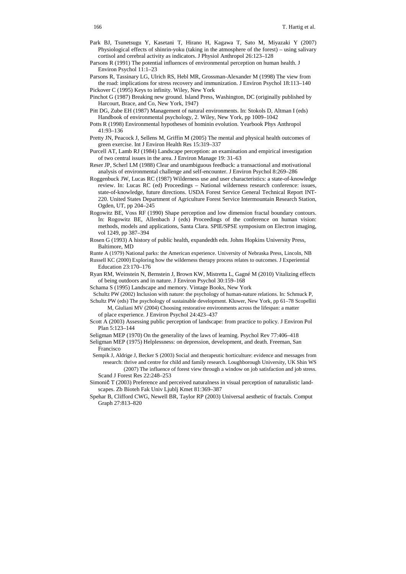Park BJ, Tsunetsugu Y, Kasetani T, Hirano H, Kagawa T, Sato M, Miyazaki Y (2007) Physiological effects of shinrin-yoku (taking in the atmosphere of the forest) – using salivary cortisol and cerebral activity as indicators. J Physiol Anthropol 26:123–128

Parsons R (1991) The potential influences of environmental perception on human health. J Environ Psychol 11:1–23

Parsons R, Tassinary LG, Ulrich RS, Hebl MR, Grossman-Alexander M (1998) The view from the road: implications for stress recovery and immunization. J Environ Psychol 18:113–140 Pickover C (1995) Keys to infinity. Wiley, New York

- Pinchot G (1987) Breaking new ground. Island Press, Washington, DC (originally published by Harcourt, Brace, and Co, New York, 1947)
- Pitt DG, Zube EH (1987) Management of natural environments. In: Stokols D, Altman I (eds) Handbook of environmental psychology, 2. Wiley, New York, pp 1009–1042
- Potts R (1998) Environmental hypotheses of hominin evolution. Yearbook Phys Anthropol 41:93–136
- Pretty JN, Peacock J, Sellens M, Griffin M (2005) The mental and physical health outcomes of green exercise. Int J Environ Health Res 15:319–337
- Purcell AT, Lamb RJ (1984) Landscape perception: an examination and empirical investigation of two central issues in the area. J Environ Manage 19: 31–63
- Reser JP, Scherl LM (1988) Clear and unambiguous feedback: a transactional and motivational analysis of environmental challenge and self-encounter. J Environ Psychol 8:269–286
- Roggenbuck JW, Lucas RC (1987) Wilderness use and user characteristics: a state-of-knowledge review. In: Lucas RC (ed) Proceedings – National wilderness research conference: issues, state-of-knowledge, future directions. USDA Forest Service General Technical Report INT-220. United States Department of Agriculture Forest Service Intermountain Research Station, Ogden, UT, pp 204–245
- Rogowitz BE, Voss RF (1990) Shape perception and low dimension fractal boundary contours. In: Rogowitz BE, Allenbach J (eds) Proceedings of the conference on human vision: methods, models and applications, Santa Clara. SPIE/SPSE symposium on Electron imaging, vol 1249, pp 387–394
- Rosen G (1993) A history of public health, expandedth edn. Johns Hopkins University Press, Baltimore, MD
- Runte A (1979) National parks: the American experience. University of Nebraska Press, Lincoln, NB
- Russell KC (2000) Exploring how the wilderness therapy process relates to outcomes. J Experiential Education 23:170–176
- Ryan RM, Weinstein N, Bernstein J, Brown KW, Mistretta L, Gagné M (2010) Vitalizing effects of being outdoors and in nature. J Environ Psychol 30:159–168

Schama S (1995) Landscape and memory. Vintage Books, New York

Schultz PW (2002) Inclusion with nature: the psychology of human-nature relations. In: Schmuck P, Schultz PW (eds) The psychology of sustainable development. Kluwer, New York, pp 61–78 Scopelliti

- M, Giuliani MV (2004) Choosing restorative environments across the lifespan: a matter of place experience. J Environ Psychol 24:423–437
- Scott A (2003) Assessing public perception of landscape: from practice to policy. J Environ Pol Plan 5:123–144
- Seligman MEP (1970) On the generality of the laws of learning. Psychol Rev 77:406–418
- Seligman MEP (1975) Helplessness: on depression, development, and death. Freeman, San Francisco

Sempik J, Aldrige J, Becker S (2003) Social and therapeutic horticulture: evidence and messages from research: thrive and centre for child and family research. Loughborough University, UK Shin WS (2007) The influence of forest view through a window on job satisfaction and job stress. Scand J Forest Res 22:248–253

- Simonič T (2003) Preference and perceived naturalness in visual perception of naturalistic landscapes. Zb Bioteh Fak Univ Ljublj Kmet 81:369–387
- Spehar B, Clifford CWG, Newell BR, Taylor RP (2003) Universal aesthetic of fractals. Comput Graph 27:813–820